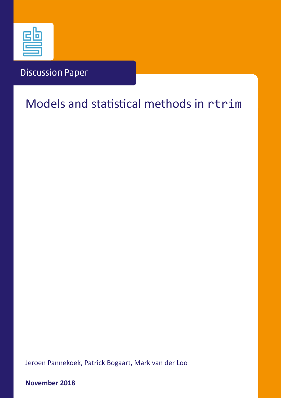

## Discussion Paper

# Models and statistical methods in rtrim

Jeroen Pannekoek, Patrick Bogaart, Mark van der Loo

**November 2018**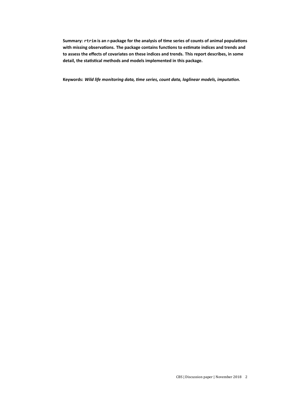Summary: rtrim is an r-package for the analysis of time series of counts of animal populations with missing observations. The package contains functions to estimate indices and trends and **to assess the effects of covariates on these indices and trends. This report describes, in some** detail, the statistical methods and models implemented in this package.

Keywords: Wild life monitoring data, time series, count data, loglinear models, imputation.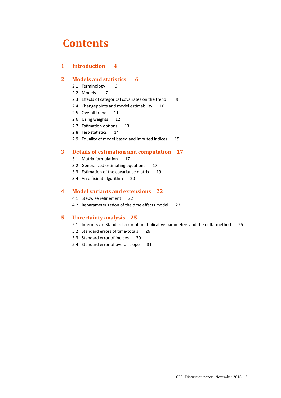## **Contents**

### **1 Introduction 4**

## **2 Models and statistics 6**

- 2.1 Terminology 6
- 2.2 Models 7
- 2.3 Effects of categorical covariates on the trend 9
- 2.4 Changepoints and model estimability 10
- 2.5 Overall trend 11
- 2.6 Using weights 12
- 2.7 Estimation options 13
- 2.8 Test-statistics 14
- 2.9 Equality of model based and imputed indices 15

### **3 Details of estimation and computation 17**

- 3.1 Matrix formulation 17
- 3.2 Generalized estimating equations 17
- 3.3 Estimation of the covariance matrix 19
- 3.4 An efficient algorithm 20

### **4 Model variants and extensions 22**

- 4.1 Stepwise refinement 22
- 4.2 Reparameterization of the time effects model 23

### **5 Uncertainty analysis 25**

- 5.1 Intermezzo: Standard error of multiplicative parameters and the delta-method 25
- 5.2 Standard errors of time-totals 26
- 5.3 Standard error of indices 30
- 5.4 Standard error of overall slope 31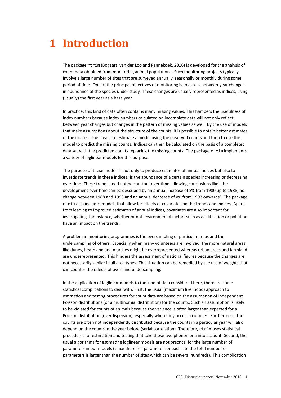# **1 Introduction**

The package rtrim (Bogaart, van der Loo and Pannekoek, 2016) is developed for the analysis of count data obtained from monitoring animal populations. Such monitoring projects typically involve a large number of sites that are surveyed annually, seasonally or monthly during some period of time. One of the principal objectives of monitoring is to assess between-year changes in abundance of the species under study. These changes are usually represented as indices, using (usually) the first year as a base year.

In practice, this kind of data often contains many missing values. This hampers the usefulness of index numbers because index numbers calculated on incomplete data will not only reflect between year changes but changes in the pattern of missing values as well. By the use of models that make assumptions about the structure of the counts, it is possible to obtain better estimates of the indices. The idea is to estimate a model using the observed counts and then to use this model to predict the missing counts. Indices can then be calculated on the basis of a completed data set with the predicted counts replacing the missing counts. The package rtrim implements a variety of loglinear models for this purpose.

The purpose of these models is not only to produce estimates of annual indices but also to investigate trends in these indices: is the abundance of a certain species increasing or decreasing over time. These trends need not be constant over time, allowing conclusions like "the development over time can be described by an annual increase of x% from 1980 up to 1988, no change between 1988 and 1993 and an annual decrease of y% from 1993 onwards". The package rtrim also includes models that allow for effects of covariates on the trends and indices. Apart from leading to improved estimates of annual indices, covariates are also important for investigating, for instance, whether or not environmental factors such as acidification or pollution have an impact on the trends.

A problem in monitoring programmes is the oversampling of particular areas and the undersampling of others. Especially when many volunteers are involved, the more natural areas like dunes, heathland and marshes might be overrepresented whereas urban areas and farmland are underrepresented. This hinders the assessment of national figures because the changes are not necessarily similar in all area types. This situation can be remedied by the use of weights that can counter the effects of over- and undersampling.

In the application of loglinear models to the kind of data considered here, there are some statistical complications to deal with. First, the usual (maximum likelihood) approach to estimation and testing procedures for count data are based on the assumption of independent Poisson distributions (or a multinomial distribution) for the counts. Such an assumption is likely to be violated for counts of animals because the variance is often larger than expected for a Poisson distribution (overdispersion), especially when they occur in colonies. Furthermore, the counts are often not independently distributed because the counts in a particular year will also depend on the counts in the year before (serial correlation). Therefore, rtrim uses statistical procedures for estimation and testing that take these two phenomena into account. Second, the usual algorithms for estimating loglinear models are not practical for the large number of parameters in our models (since there is a parameter for each site the total number of parameters is larger than the number of sites which can be several hundreds). This complication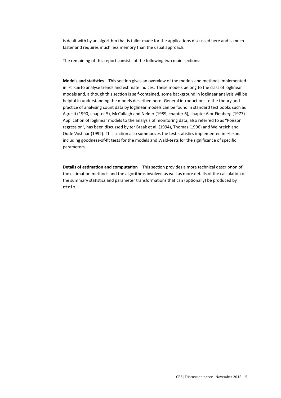is dealt with by an algorithm that is tailor made for the applications discussed here and is much faster and requires much less memory than the usual approach.

The remaining of this report consists of the following two main sections:

**Models and statistics** This section gives an overview of the models and methods implemented in rtrim to analyse trends and estimate indices. These models belong to the class of loglinear models and, although this section is self-contained, some background in loglinear analysis will be helpful in understanding the models described here. General introductions to the theory and practice of analysing count data by loglinear models can be found in standard text books such as Agresti (1990, chapter 5), McCullagh and Nelder (1989, chapter 6), chapter 6 or Fienberg (1977). Application of loglinear models to the analysis of monitoring data, also referred to as "Poisson regression", has been discussed by ter Braak et al. (1994), Thomas (1996) and Weinreich and Oude Voshaar (1992). This section also summarizes the test-statistics implemented in rtrim, including goodness-of-fit tests for the models and Wald-tests for the significance of specific parameters.

**Details of estimation and computation** This section provides a more technical description of the estimation methods and the algorithms involved as well as more details of the calculation of the summary statistics and parameter transformations that can (optionally) be produced by rtrim.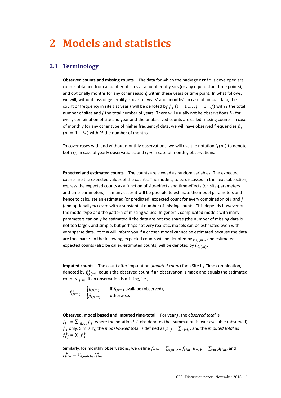# **2 Models and statistics**

### **2.1 Terminology**

**Observed counts and missing counts** The data for which the package rtrim is developed are counts obtained from a number of sites at a number of years (or any equi-distant time points), and optionally months (or any other season) within these years or time point. In what follows, we will, without loss of generality, speak of 'years' and 'months'. In case of annual data, the count or frequency in site *i* at year *j* will be denoted by  $f_{i,i}$  ( $i = 1...I, j = 1...J$ ) with *I* the total number of sites and *J* the total number of years. There will usually not be observations  $f_{ij}$  for every combination of site and year and the unobserved counts are called missing counts. In case of monthly (or any other type of higher frequency) data, we will have observed frequencies  $f_{ijm}$  $(m = 1 ... M)$  with *M* the number of months.

To cover cases with and without monthly observations, we will use the notation  $ij(m)$  to denote both  $ij$ , in case of yearly observations, and  $ijm$  in case of monthly observations.

**Expected and estimated counts** The counts are viewed as random variables. The expected counts are the expected values of the counts. The models, to be discussed in the next subsection, express the expected counts as a function of site-effects and time-effects (or, site-parameters and time-parameters). In many cases it will be possible to estimate the model parameters and hence to calculate an estimated (or predicted) expected count for every combination of  $i$  and  $j$ (and optionally  $m$ ) even with a substantial number of missing counts. This depends however on the model type and the pattern of missing values. In general, complicated models with many parameters can only be estimated if the data are not too sparse (the number of missing data is not too large), and simple, but perhaps not very realistic, models can be estimated even with very sparse data. rtrim will inform you if a chosen model cannot be estimated because the data are too sparse. In the following, expected counts will be denoted by  $\mu_{ij(m)}$ , and estimated expected counts (also be called estimated counts) will be denoted by  $\hat{\mu}_{i\,j(m)}$ .

**Imputed counts** The count after imputation (*imputed count*) for a Site by Time combination, denoted by  $f^+_{ij(m)}$ , equals the observed count if an observation is made and equals the estimated count  $\hat{\mu}_{i\,i(m)}$  if an observation is missing, i.e.,

 $f_{ij(m)}^+ = \begin{cases} f_{ij(m)} & \text{if } f_{ij(m)} \text{ available (observed)}, \ 0 & \text{otherwise}. \end{cases}$  $\hat{\mu}_{ij(m)}$  otherwise.

**Observed, model based and imputed time-total** For year *j*, the *observed total* is  $f_{+i} = \sum_{i \in obs} f_{ij}$ , where the notation  $i \in obs$  denotes that summation is over available (observed)  $f_{ij}$  only. Similarly, the *model-based* total is defined as  $\mu_{+j} = \sum_i \mu_{ij}$ , and the *imputed total* as  $f_{+j}^{+} = \sum_{i} f_{ij}^{+}.$ 

Similarly, for monthly observations, we define  $f_{+j+} = \sum_{i,m \in obs} f_{ijm}$ ,  $\mu_{+j+} = \sum_{i,m} \mu_{ijm}$ , and  $f_{+j+}^{+} = \sum_{i,m \in obs} f_{ijm}^{+}$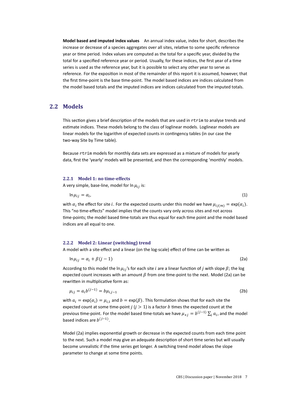**Model based and imputed index values** An annual index value, index for short, describes the increase or decrease of a species aggregates over all sites, relative to some specific reference year or time period. Index values are computed as the total for a specific year, divided by the total for a specified reference year or period. Usually, for these indices, the first year of a time series is used as the reference year, but it is possible to select any other year to serve as reference. For the exposition in most of the remainder of this report it is assumed, however, that the first time-point is the base time-point. The model based indices are indices calculated from the model based totals and the imputed indices are indices calculated from the imputed totals.

### **2.2 Models**

This section gives a brief description of the models that are used in rtrim to analyse trends and estimate indices. These models belong to the class of loglinear models. Loglinear models are linear models for the logarithm of expected counts in contingency tables (in our case the two-way Site by Time table).

Because rtrim models for monthly data sets are expressed as a mixture of models for yearly data, first the 'yearly' models will be presented, and then the corresponding 'monthly' models.

#### **2.2.1 Model 1: no time-effects**

A very simple, base-line, model for  $\ln \mu_{ij}$  is:

$$
\ln \mu_{ij} = \alpha_i, \tag{1}
$$

with  $\alpha_i$  the effect for site i. For the expected counts under this model we have  $\mu_{ij(m)} = \exp(\alpha_i)$ . This "no time-effects" model implies that the counts vary only across sites and not across time-points; the model based time-totals are thus equal for each time point and the model based indices are all equal to one.

#### **2.2.2 Model 2: Linear (switching) trend**

A model with a site-effect and a linear (on the log-scale) effect of time can be written as

$$
\ln \mu_{ij} = \alpha_i + \beta(j-1) \tag{2a}
$$

According to this model the ln  $\mu_{ij}$ 's for each site *i* are a linear function of *j* with slope  $\beta$ ; the log expected count increases with an amount  $\beta$  from one time-point to the next. Model (2a) can be rewritten in multiplicative form as:

$$
\mu_{ij} = a_i b^{(j-1)} = b \mu_{i,j-1}
$$
 (2b)

with  $a_i = \exp(\alpha_i) = \mu_{i,1}$  and  $b = \exp(\beta)$ . This formulation shows that for each site the expected count at some time-point  $j$  ( $j > 1$ ) is a factor  $b$  times the expected count at the previous time-point. For the model based time-totals we have  $\mu_{+j} = b^{(j-1)} \sum_i a_i$ , and the model based indices are  $b^{(j-1)}$ .

Model (2a) implies exponential growth or decrease in the expected counts from each time point to the next. Such a model may give an adequate description of short time series but will usually become unrealistic if the time series get longer. A switching trend model allows the slope parameter to change at some time points.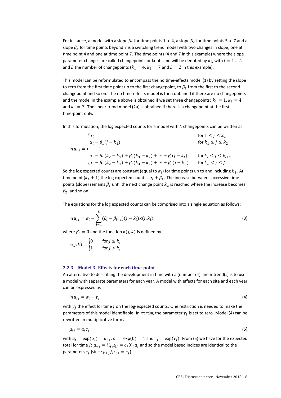For instance, a model with a slope  $\beta_1$  for time points 1 to 4, a slope  $\beta_2$  for time points 5 to 7 and a slope  $\beta_3$  for time points beyond 7 is a switching trend model with two changes in slope, one at time point 4 and one at time point 7. The time points (4 and 7 in this example) where the slope parameter changes are called changepoints or knots and will be denoted by  $k_l$ , with  $l = 1 ... L$ and *L* the number of changepoints ( $k_1 = 4$ ,  $k_2 = 7$  and  $L = 2$  in this example).

This model can be reformulated to encompass the no time-effects model (1) by setting the slope to zero from the first time point up to the first changepoint, to  $\beta_1$  from the first to the second changepoint and so on. The no time-effects model is then obtained if there are no changepoints and the model in the example above is obtained if we set three changepoints:  $k_1 = 1$ ,  $k_2 = 4$ and  $k_3 = 7$ . The linear trend model (2a) is obtained if there is a changepoint at the first time-point only.

In this formulation, the log expected counts for a model with  $L$  changepoints can be written as

$$
\ln \mu_{i,j} = \begin{cases} \alpha_i & \text{for } 1 \le j \le k_1 \\ \alpha_i + \beta_1(j - k_1) & \text{for } k_1 \le j \le k_2 \\ \vdots & \vdots \\ \alpha_i + \beta_1(k_2 - k_1) + \beta_2(k_3 - k_2) + \dots + \beta_l(j - k_l) & \text{for } k_l \le j \le k_{l+1} \\ \alpha_i + \beta_1(k_2 - k_1) + \beta_2(k_3 - k_2) + \dots + \beta_L(j - k_L) & \text{for } k_L < j \le J \end{cases}
$$

So the log expected counts are constant (equal to  $\alpha_i$ ) for time points up to and including  $k_1$ . At time point ( $k_1 + 1$ ) the log expected count is  $\alpha_i + \beta_1$ . The increase between successive time points (slope) remains  $\beta_1$  until the next change point  $k_2$  is reached where the increase becomes  $\beta_2$ , and so on.

The equations for the log expected counts can be comprised into a single equation as follows:

$$
\ln \mu_{ij} = \alpha_i + \sum_{l=1}^{L} (\beta_l - \beta_{l-1})(j - k_l)\kappa(j, k_l),
$$
\n(3)

where  $\beta_0 = 0$  and the function  $\kappa(j, k)$  is defined by

$$
\kappa(j,k) = \begin{cases} 0 & \text{for } j \le k_l \\ 1 & \text{for } j > k_l \end{cases}
$$

### **2.2.3 Model 3: Effects for each time-point**

An alternative to describing the development in time with a (number of) linear trend(s) is to use a model with separate parameters for each year. A model with effects for each site and each year can be expressed as

$$
\ln \mu_{ij} = \alpha_i + \gamma_j \tag{4}
$$

with  $\gamma_j$  the effect for time  $j$  on the log-expected counts. One restriction is needed to make the parameters of this model identifiable. In rtrim, the parameter  $\gamma_1$  is set to zero. Model (4) can be rewritten in multiplicative form as:

$$
\mu_{ij} = a_i c_j \tag{5}
$$

with  $a_i = \exp(\alpha_i) = \mu_{i,1}$ ,  $c_1 = \exp(0) = 1$  and  $c_i = \exp(\gamma_i)$ . From (5) we have for the expected total for time  $j$ :  $\mu_{+j}=\sum_i \mu_{ij}=c_j\sum_i a_i$  and so the model based indices are identical to the parameters  $c_j$  (since  $\mu_{+j}/\mu_{+1} = c_j$ ).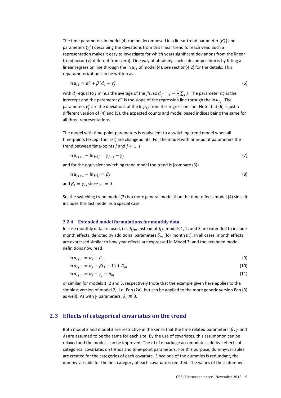The time parameters in model (4) can be decomposed in a linear trend parameter  $(\beta_j^*)$  and parameters  $(\gamma_j^*)$  describing the deviations from this linear trend for each year. Such a representation makes it easy to investigate for which years significant deviations from the linear trend occur ( $\gamma_j^*$  different from zero). One way of obtaining such a decomposition is by fitting a linear regression line through the ln  $\mu_{ij}$  of model (4), see section(4.2) for the details. This reparameterization can be written as

$$
\ln \mu_{ij} = \alpha_i^* + \beta^* d_j + \gamma_j^* \tag{6}
$$

with  $d_j$  equal to  $j$  minus the average of the  $j$ 's, so  $d_j = j - \frac{1}{j} \sum_j j$ . The parameter  $\alpha_i^*$  is the intercept and the parameter  $\beta^*$  is the slope of the regression line through the ln  $\mu_{ij}$ . The parameters  $\gamma_j^*$  are the deviations of the ln  $\mu_{ij}$  from this regression line. Note that (6) is just a different version of (4) and (5), the expected counts and model based indices being the same for all three representations.

The model with time-point parameters is equivalent to a switching trend model when all time-points (except the last) are changepoints. For the model with time-point parameters the trend between time-points  $j$  and  $j + 1$  is

$$
\ln \mu_{ij+1} - \ln \mu_{ij} = \gamma_{j+1} - \gamma_j \tag{7}
$$

and for the equivalent switching trend model the trend is (compare (3))

$$
\ln \mu_{ij+1} - \ln \mu_{ij} = \beta_j
$$
  
and  $\beta_1 = \gamma_2$ , since  $\gamma_1 = 0$ . (8)

So, the switching trend model (3) is a more general model than the time-effects model (4) since it includes this last model as a special case.

### **2.2.4 Extended model formulations for monthly data**

In case monthly data are used, i.e.  $f_{ijm}$  instead of  $f_{ij}$ , models 1, 2, and 3 are extended to include month effects, denoted by additional parameters  $\delta_m$  (for month  $m$ ). In all cases, month effects are expressed similar to how year effects are expressed in Model 3, and the extended model definitions now read

$$
\ln \mu_{ijm} = \alpha_i + \delta_m \tag{9}
$$

 $\ln \mu_{ijm} = \alpha_i + \beta(j-1) + \delta_m$  (10)

$$
\ln \mu_{ijm} = \alpha_i + \gamma_j + \delta_m \tag{11}
$$

or similar, for models 1, 2 and 3, respectively (note that the example given here applies to the simplest version of model 2, .i.e. Eqn (2a), but can be applied to the more generic version Eqn (3) as well). As with  $\gamma$  parameters,  $\delta_1 \equiv 0$ .

### **2.3 Effects of categorical covariates on the trend**

Both model 2 and model 3 are restrictive in the sense that the time related parameters ( $\beta$ ,  $\gamma$  and  $\delta$ ) are assumed to be the same for each site. By the use of covariates, this assumption can be relaxed and the models can be improved. The rtrim package accomodates additive effects of categorical covariates on trends and time-point parameters. For this purpose, dummy-variables are created for the categories of each covariate. Since one of the dummies is redundant, the dummy variable for the first category of each covariate is omitted. The values of these dummy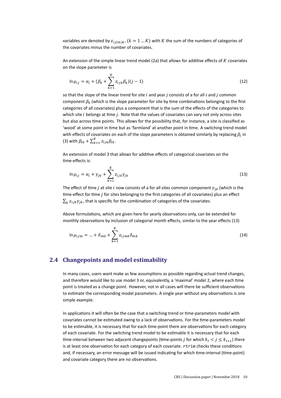variables are denoted by  $z_{ij(m)k}$ ,  $(k = 1 ... K)$  with K the sum of the numbers of categories of the covariates minus the number of covariates.

An extension of the simple linear trend model (2a) that allows for additive effects of  $K$  covariates on the slope parameter is

$$
\ln \mu_{ij} = \alpha_i + (\beta_0 + \sum_{k=1}^{K} z_{ijk} \beta_k)(j-1)
$$
\n(12)

so that the slope of the linear trend for site  $i$  and year  $j$  consists of a for all  $i$  and  $j$  common component  $\beta_0$  (which is the slope parameter for site by time combinations belonging to the first categories of all covariates) plus a component that is the sum of the effects of the categories to which site  $i$  belongs at time  $j$ . Note that the values of covariates can vary not only across sites but also across time points. This allows for the possibility that, for instance, a site is classified as 'wood' at some point in time but as 'farmland' at another point in time. A switching trend model with effects of covariates on each of the slope parameters is obtained similarly by replacing  $\beta_l$  in (3) with  $\beta_{l0} + \sum_{k=1}^{K} z_{ijk} \beta_{lk}$ .

An extension of model 3 that allows for additive effects of categorical covariates on the time-effects is:

$$
\ln \mu_{ij} = \alpha_i + \gamma_{j0} + \sum_{k=1}^{K} z_{ijk} \gamma_{jk}
$$
 (13)

The effect of time *j* at site *i* now consists of a for all sites common component  $\gamma_{i0}$  (which is the time-effect for time *j* for sites belonging to the first categories of all covariates) plus an effect  $\sum_k z_{ijk}\gamma_{jk}$ , that is specific for the combination of categories of the covariates.

Above formulations, which are given here for yearly observations only, can be extended for monthly observations by inclusion of categorial month effects, similar to the year effects (13)

$$
\ln \mu_{ijm} = ... + \delta_{m0} + \sum_{k=1}^{K} z_{ijmk} \delta_{mk}
$$
 (14)

### **2.4 Changepoints and model estimability**

In many cases, users want make as few assumptions as possible regarding actual trend changes, and therefore would like to use model 3 or, equivalently, a 'maximal' model 2, where each time point is treated as a change point. However, not in all cases will there be sufficient observations to estimate the corresponding model parameters. A single year without any observations is one simple example.

In applications it will often be the case that a switching trend or time-parameters model with covariates cannot be estimated owing to a lack of observations. For the time-parameters model to be estimable, it is necessary that for each time-point there are observations for each category of each covariate. For the switching trend model to be estimable it is necessary that for each time-interval between two adjacent changepoints (time-points *i* for which  $k_1 < j \leq k_{i+1}$ ) there is at least one observation for each category of each covariate. rtrim checks these conditions and, if necessary, an error message will be issued indicating for which time-interval (time-point) and covariate category there are no observations.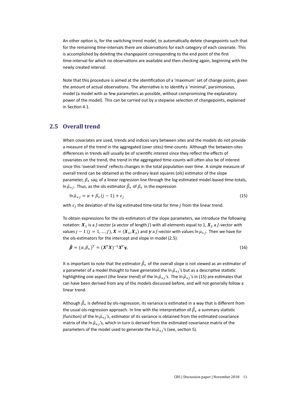An other option is, for the switching trend model, to automatically delete changepoints such that for the remaining time-intervals there are observations for each category of each covariate. This is accomplished by deleting the changepoint corresponding to the end point of the first time-interval for which no observations are available and then checking again, beginning with the newly created interval.

Note that this procedure is aimed at the identification of a 'maximum' set of change points, given the amount of actual observations. The alternative is to identify a 'minimal', parsimonious, model (a model with as few parameters as possible, without compromising the explanatory power of the model). This can be carried out by a stepwise selection of changepoints, explained in Section 4.1.

### **2.5 Overall trend**

When covariates are used, trends and indices vary between sites and the models do not provide a measure of the trend in the aggregated (over sites) time-counts. Although the between-sites differences in trends will usually be of scientific interest since they reflect the effects of covariates on the trend, the trend in the aggregated time-counts will often also be of interest since this 'overall trend' reflects changes in the total population over time. A simple measure of overall trend can be obtained as the ordinary least squares (ols) estimator of the slope parameter,  $\beta_+$  say, of a linear regression line through the log estimated model-based time-totals, In  $\hat{\mu}_{+j}$ . Thus, as the ols estimator  $\hat{\beta}_{+}$  of  $\beta_{+}$  in the expression

$$
\ln \hat{\mu}_{+j} = \alpha + \beta_+(j-1) + \varepsilon_j \tag{15}
$$

with  $\varepsilon_j$  the deviation of the log estimated time-total for time  $j$  from the linear trend.

To obtain expressions for the ols-estimators of the slope parameters, we introduce the following notation:  $X_1$  is a *J*-vector (a vector of length *J*) with all elements equal to 1,  $X_2$  a *J*-vector with values  $j - 1$   $(j = 1, ..., J)$ ,  $X = (X_1, X_2)$  and y a *J*-vector with values  $\ln \mu_{+i}$ . Then we have for the ols-estimators for the intercept and slope in model (2.5):

$$
\hat{\boldsymbol{\beta}} = (\alpha, \beta_+)^T = (\boldsymbol{X}^T \boldsymbol{X})^{-1} \boldsymbol{X}^T \boldsymbol{\gamma},\tag{16}
$$

It is important to note that the estimator  $\hat{\beta}_{+}$  of the overall slope is not viewed as an estimator of a parameter of a model thought to have generated the  $\ln \hat{\mu}_{+i}$ 's but as a descriptive statistic highlighting one aspect (the linear trend) of the ln  $\hat{\mu}_{+i}$ 's. The ln  $\hat{\mu}_{+i}$ 's in (15) are estimates that can have been derived from any of the models discussed before, and will not generally follow a linear trend.

Although  $\hat{\beta}_{+}$  is defined by ols-regression, its variance is estimated in a way that is different from the usual ols-regression approach. In line with the interpretation of  $\hat{\beta}_+$  a summary statistic (function) of the ln  $\hat{\mu}_{+j}$ 's, estimator of its variance is obtained from the estimated covariance matrix of the ln  $\hat{\mu}_{+i}$ 's, which in turn is derived from the estimated covariance matrix of the parameters of the model used to generate the ln  $\hat{\mu}_{+i}$ 's (see, section 5).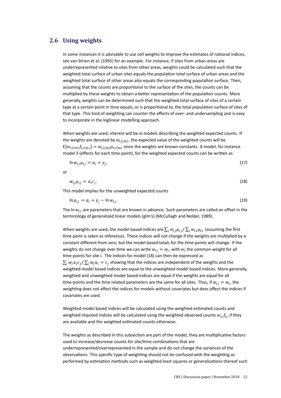### **2.6 Using weights**

In some instances it is advisable to use cell weights to improve the estimates of national indices, see van Strien et al. (1995) for an example. For instance, if sites from urban areas are underrepresented relative to sites from other areas, weights could be calculated such that the weighted total surface of urban sites equals the population total surface of urban areas and the weighted total surface of other areas also equals the corresponding population surface. Then, assuming that the counts are proportional to the surface of the sites, the counts can be multiplied by these weights to obtain a better representation of the population counts. More generally, weights can be determined such that the weighted total surface of sites of a certain type at a certain point in time equals, or is proportional to, the total population surface of sites of that type. This kind of weighting can counter the effects of over- and undersampling and is easy to incorporate in the loglinear modelling approach.

When weights are used, interest will be in models describing the weighted expected counts. If the weights are denoted by  $w_{ij(m)}$ , the expected value of the weighted counts will be  $E[w_{ij(m)}f_{ij(m)}] = w_{ij(m)}\mu_{ij(m)}$  since the weights are known constants. A model, for instance model 3 (effects for each time-point), for the weighted expected counts can be written as

$$
\ln w_{ij}\mu_{ij} = \alpha_i + \gamma_j,\tag{17}
$$

or

$$
w_{ij}\mu_{ij} = a_i c_j. \tag{18}
$$

This model implies for the unweighted expected counts

$$
\ln \mu_{ij} = \alpha_i + \gamma_j - \ln w_{ij}.\tag{19}
$$

The In  $w_{ij}$  are parameters that are known in advance. Such parameters are called an offset in the terminology of generalized linear models (glm's) (McCullagh and Nelder, 1989).

When weights are used, the model based indices are  $\sum_i w_{ij} \mu_{ij} / \sum_i w_{i1} \mu_{i1}$  (assuming the first time point is taken as reference). These indices will not change if the weights are multiplied by a constant different from zero, but the model based totals for the time-points will change. If the weights do not change over time we can write  $w_{ij} = w_i$ , with  $w_i$  the common weight for all time-points for site  $i$ . The indices for model (18) can then be expressed as  $\sum_i w_i a_i c_j/\sum_i w_i a_i = c_j$  showing that the indices are independent of the weights and the weighted model based indices are equal to the unweighted model based indices. More generally, weighted and unweighted model based indices are equal if the weights are equal for all time-points and the time related parameters are the same for all sites. Thus, if  $w_{ij} = w_i$ , the weighting does not affect the indices for models without covariates but does affect the indices if covariates are used.

Weighted model based indices will be calculated using the weighted estimated counts and weighted imputed indices will be calculated using the weighted observed counts  $w_{ij}f_{ij}$  if they are available and the weighted estimated counts otherwise.

The weights as described in this subsection are part of the model, they are multiplicative factors used to increase/decrease counts for site/time combinations that are underrepresented/overrepresented in the sample and do not change the variances of the observations. This specific type of weighting should not be confused with the weighting as performed by estimation methods such as weighted least squares or generalisations thereof such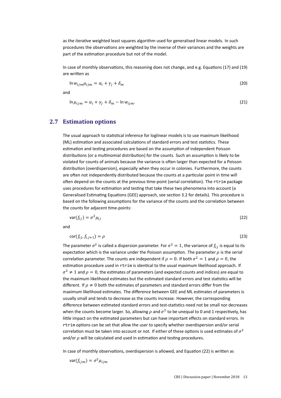as the iterative weighted least squares algorithm used for generalised linear models. In such procedures the observations are weighted by the inverse of their variances and the weights are part of the estimation procedure but not of the model.

In case of monthly observations, this reasoning does not change, and e.g. Equations (17) and (19) are written as

$$
\ln w_{ijm}\mu_{ijm} = \alpha_i + \gamma_j + \delta_m \tag{20}
$$

and

$$
\ln \mu_{ijm} = \alpha_i + \gamma_j + \delta_m - \ln w_{ijm}.
$$
\n(21)

## **2.7 Estimation options**

The usual approach to statistical inference for loglinear models is to use maximum likelihood (ML) estimation and associated calculations of standard errors and test statistics. These estimation and testing procedures are based on the assumption of independent Poisson distributions (or a multinomial distribution) for the counts. Such an assumption is likely to be violated for counts of animals because the variance is often larger than expected for a Poisson distribution (overdispersion), especially when they occur in colonies. Furthermore, the counts are often not independently distributed because the counts at a particular point in time will often depend on the counts at the previous time-point (serial correlation). The rtrim package uses procedures for estimation and testing that take these two phenomena into account (a Generalised Estimating Equations (GEE) approach, see section 3.2 for details). This procedure is based on the following assumptions for the variance of the counts and the correlation between the counts for adjacent time-points:

$$
var(f_{ij}) = \sigma^2 \mu_{ij} \tag{22}
$$

and

$$
\operatorname{cor}(f_{ij}, f_{i,j+1}) = \rho \tag{23}
$$

The parameter  $\sigma^2$  is called a dispersion parameter. For  $\sigma^2=1$ , the variance of  $f_{ij}$  is equal to its expectation which is the variance under the Poisson assumption. The parameter  $\rho$  is the serial correlation parameter. The counts are independent if  $\rho = 0$ . If both  $\sigma^2 = 1$  and  $\rho = 0$ , the estimation procedure used in rtrim is identical to the usual maximum likelihood approach. If  $\sigma^2 \neq 1$  and  $\rho = 0$ , the estimates of parameters (and expected counts and indices) are equal to the maximum likelihood estimates but the estimated standard errors and test statistics will be different. If  $\rho \neq 0$  both the estimates of parameters and standard errors differ from the maximum likelihood estimates. The difference between GEE and ML estimates of parameters is usually small and tends to decrease as the counts increase. However, the corresponding difference between estimated standard errors and test-statistics need not be small nor decreases when the counts become larger. So, allowing  $\rho$  and  $\sigma^2$  to be unequal to 0 and 1 respectively, has little impact on the estimated parameters but can have important effects on standard errors. In rtrim options can be set that allow the user to specify whether overdispersion and/or serial correlation must be taken into account or not. If either of these options is used estimates of  $\sigma^2$ and/or  $\rho$  will be calculated and used in estimation and testing procedures.

In case of monthly observations, overdispersion is allowed, and Equation (22) is written as

$$
\text{var}(f_{ijm}) = \sigma^2 \mu_{ijm}
$$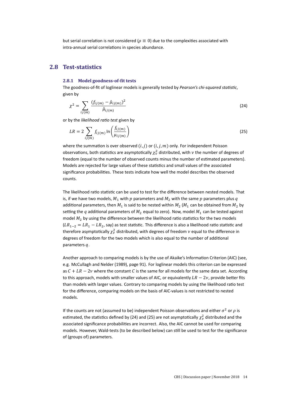but serial correlation is not considered ( $\rho \equiv 0$ ) due to the complexities associated with intra-annual serial correlations in species abundance.

## **2.8 Test-statistics**

### **2.8.1** Model goodness-of-fit tests

The goodness-of-fit of loglinear models is generally tested by *Pearson's chi-squared statistic*, given by

$$
\chi^2 = \sum_{ij(m)} \frac{(f_{ij(m)} - \hat{\mu}_{ij(m)})^2}{\hat{\mu}_{ij(m)}}
$$
(24)

or by the *likelihood raƟo test* given by

$$
LR = 2 \sum_{ij(m)} f_{ij(m)} \ln \left( \frac{f_{ij(m)}}{\mu_{ij(m)}} \right) \tag{25}
$$

where the summation is over observed  $(i, j)$  or  $(i, j, m)$  only. For independent Poisson observations, both statistics are asymptotically  $\chi^2_\nu$  distributed, with  $\nu$  the number of degrees of freedom (equal to the number of observed counts minus the number of estimated parameters). Models are rejected for large values of these statistics and small values of the associated significance probabilities. These tests indicate how well the model describes the observed counts.

The likelihood ratio statistic can be used to test for the difference between nested models. That is, if we have two models,  $M_1$  with  $p$  parameters and  $M_2$  with the same  $p$  parameters plus  $q$ additional parameters, then  $M_1$  is said to be nested within  $M_2$  ( $M_1$  can be obtained from  $M_2$  by setting the q additional parameters of  $M_2$  equal to zero). Now, model  $M_1$  can be tested against model  $M_2$  by using the difference between the likelihood ratio statistics for the two models  $(LR_{1-2} = LR_1 - LR_2$ , say) as test statistic. This difference is also a likelihood ratio statistic and therefore asymptotically  $\chi^2_\nu$  distributed, with degrees of freedom  $\nu$  equal to the difference in degrees of freedom for the two models which is also equal to the number of additional parameters  $q$ .

Another approach to comparing models is by the use of Akaike's Information Criterion (AIC) (see, e.g. McCullagh and Nelder (1989), page 91). For loglinear models this criterion can be expressed as  $C + LR - 2\nu$  where the constant C is the same for all models for the same data set. According to this approach, models with smaller values of AIC, or equivalently  $LR - 2\nu$ , provide better fits than models with larger values. Contrary to comparing models by using the likelihood ratio test for the difference, comparing models on the basis of AIC-values is not restricted to nested models.

If the counts are not (assumed to be) independent Poisson observations and either  $\sigma^2$  or  $\rho$  is estimated, the statistics defined by (24) and (25) are not asymptotically  $\chi^2_\nu$  distributed and the associated significance probabilities are incorrect. Also, the AIC cannot be used for comparing models. However, Wald-tests (to be described below) can still be used to test for the significance of (groups of) parameters.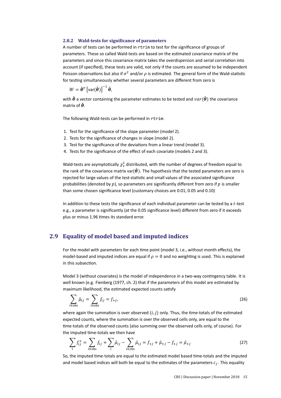### **2.8.2 Wald-tests for significance of parameters**

A number of tests can be performed in rtrim to test for the significance of groups of parameters. These so called Wald-tests are based on the estimated covariance matrix of the parameters and since this covariance matrix takes the overdispersion and serial correlation into account (if specified), these tests are valid, not only if the counts are assumed to be independent Poisson observations but also if  $\sigma^2$  and/or  $\rho$  is estimated. The general form of the Wald-statistic for testing simultaneously whether several parameters are different from zero is

$$
W = \hat{\boldsymbol{\theta}}^T \left[ \text{var}(\hat{\boldsymbol{\theta}}) \right]^{-1} \hat{\boldsymbol{\theta}},
$$

with  $\hat{\theta}$  a vector containing the parameter estimates to be tested and  $var(\hat{\theta})$  the covariance matrix of  $\hat{\boldsymbol{\theta}}$ .

The following Wald-tests can be performed in rtrim:

- 1. Test for the significance of the slope parameter (model 2).
- 2. Tests for the significance of changes in slope (model 2).
- 3. Test for the significance of the deviations from a linear trend (model 3).
- 4. Tests for the significance of the effect of each covariate (models 2 and 3).

Wald-tests are asymptotically  $\chi^2_\nu$  distributed, with the number of degrees of freedom equal to the rank of the covariance matrix var( $\hat{\theta}$ ). The hypothesis that the tested parameters are zero is rejected for large values of the test-statistic and small values of the associated significance probabilities (denoted by  $p$ ), so parameters are significantly different from zero if  $p$  is smaller than some chosen significance level (customary choices are 0.01, 0.05 and 0.10)

In addition to these tests the significance of each individual parameter can be tested by a  $t$ -test e.g., a parameter is significantly (at the 0.05 significance level) different from zero if it exceeds plus or minus 1.96 times its standard error.

### **2.9 Equality of model based and imputed indices**

For the model with parameters for each time point (model 3, i.e., without month effects), the model-based and imputed indices are equal if  $\rho = 0$  and no weighting is used. This is explained in this subsection.

Model 3 (without covariates) is the model of independence in a two-way contingency table. It is well known (e.g. Fienberg (1977, ch. 2) that if the parameters of this model are estimated by maximum likelihood, the estimated expected counts satisfy

$$
\sum_{i \in \text{obs}} \hat{\mu}_{ij} = \sum_{i \in \text{obs}} f_{ij} = f_{+j},\tag{26}
$$

where again the summation is over observed  $(i, j)$  only. Thus, the time-totals of the estimated expected counts, where the summation is over the observed cells only, are equal to the time-totals of the observed counts (also summing over the observed cells only, of course). For the imputed time-totals we then have

$$
\sum_{i} f_{ij}^{+} = \sum_{i \in obs} f_{ij} + \sum_{i} \hat{\mu}_{ij} - \sum_{i \in obs} \hat{\mu}_{ij} = f_{+j} + \hat{\mu}_{+j} - f_{+j} = \hat{\mu}_{+j}
$$
(27)

So, the imputed time-totals are equal to the estimated model based time-totals and the imputed and model based indices will both be equal to the estimates of the parameters  $c_j$ . This equality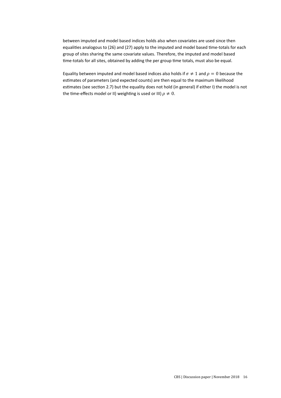between imputed and model based indices holds also when covariates are used since then equalities analogous to (26) and (27) apply to the imputed and model based time-totals for each group of sites sharing the same covariate values. Therefore, the imputed and model based time-totals for all sites, obtained by adding the per group time totals, must also be equal.

Equality between imputed and model based indices also holds if  $\sigma \neq 1$  and  $\rho = 0$  because the estimates of parameters (and expected counts) are then equal to the maximum likelihood estimates (see section 2.7) but the equality does not hold (in general) if either I) the model is not the time-effects model or II) weighting is used or III)  $\rho \neq 0$ .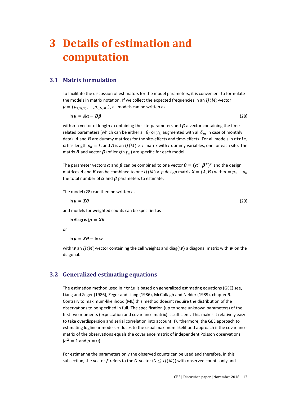# **3 Details of estimation and computation**

## **3.1 Matrix formulation**

To facilitate the discussion of estimators for the model parameters, it is convenient to formulate the models in matrix notation. If we collect the expected frequencies in an  $IJ(M)$ -vector  $\mu = (\mu_{1,1(,1)}, \ldots, \mu_{I,I(M)})$ , all models can be written as

$$
\ln \mu = A\alpha + B\beta, \tag{28}
$$

with  $\alpha$  a vector of length I containing the site-parameters and  $\beta$  a vector containing the time related parameters (which can be either all  $\beta_j$  or  $\gamma_j$ , augmented with all  $\delta_m$  in case of monthly data).  $A$  and  $B$  are dummy matrices for the site-effects and time-effects. For all models in rtrim,  $\alpha$  has length  $p_a = I$ , and A is an  $I/(M) \times I$ -matrix with I dummy-variables, one for each site. The matrix **B** and vector  $\beta$  (of length  $p_b$ ) are specific for each model.

The parameter vectors  $\bm{\alpha}$  and  $\bm{\beta}$  can be combined to one vector  $\bm{\theta} = (\bm{\alpha}^T, \bm{\beta}^T)^T$  and the design matrices A and B can be combined to one  $I/(M) \times p$  design matrix  $X = (A, B)$  with  $p = p_a + p_b$ the total number of  $\alpha$  and  $\beta$  parameters to estimate.

The model (28) can then be written as

 $\ln \mu = X\theta$  (29)

and models for weighted counts can be specified as

In diag $(w)$  $\mu = X\theta$ 

or

 $\ln \mu = X\theta - \ln w$ 

with w an  $I/(M)$ -vector containing the cell weights and diag( $w$ ) a diagonal matrix with w on the diagonal.

### **3.2 Generalized estimating equations**

The estimation method used in rtrim is based on generalized estimating equations (GEE) see. Liang and Zeger (1986), Zeger and Liang (1986), McCullagh and Nelder (1989), chapter 9. Contrary to maximum-likelihood (ML) this method doesn't require the distribution of the observations to be specified in full. The specification (up to some unknown parameters) of the first two moments (expectation and covariance matrix) is sufficient. This makes it relatively easy to take overdispersion and serial correlation into account. Furthermore, the GEE approach to estimating loglinear models reduces to the usual maximum likelihood approach if the covariance matrix of the observations equals the covariance matrix of independent Poisson observations  $(\sigma^2 = 1$  and  $\rho = 0)$ .

For estimating the parameters only the observed counts can be used and therefore, in this subsection, the vector f refers to the O-vector ( $0 \leq I(M)$ ) with observed counts only and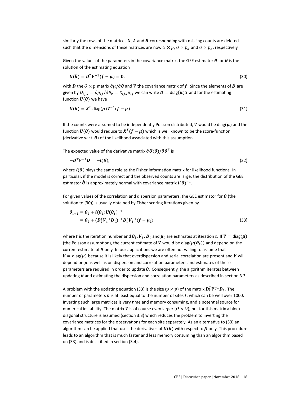similarly the rows of the matrices  $X$ ,  $A$  and  $B$  corresponding with missing counts are deleted such that the dimensions of these matrices are now  $0 \times p$ ,  $0 \times p_a$  and  $0 \times p_b$ , respectively.

Given the values of the parameters in the covariance matrix, the GEE estimator  $\hat{\theta}$  for  $\theta$  is the solution of the estimating equation

$$
U(\hat{\boldsymbol{\theta}}) = \boldsymbol{D}^T \boldsymbol{V}^{-1} (\boldsymbol{f} - \boldsymbol{\mu}) = \boldsymbol{0},\tag{30}
$$

with **D** the  $0 \times p$  matrix  $\partial \mu / \partial \theta$  and *V* the covariance matrix of f. Since the elements of **D** are given by  $D_{i j,k} = \partial \mu_{i j}/\partial \theta_k = X_{i j k} \mu_{i j}$  we can write  $\bm{D} = \text{diag}(\bm{\mu}) \bm{X}$  and for the estimating function  $U(\theta)$  we have

$$
U(\theta) = X^T \text{ diag}(\mu) V^{-1} (f - \mu)
$$
\n(31)

If the counts were assumed to be independently Poisson distributed, V would be diag( $\mu$ ) and the function  $\bm{U}(\bm{\theta})$  would reduce to  $\bm{X}^T(\bm{f}-\bm{\mu})$  which is well known to be the score-function (derivative w.r.t.  $\theta$ ) of the likelihood associated with this assumption.

The expected value of the derivative matrix  $\partial {\bm U}({\bm \theta})/\partial {\bm \theta}^T$  is

$$
-D^T V^{-1} D = -i(\theta), \qquad (32)
$$

where  $i(\theta)$  plays the same role as the Fisher information matrix for likelihood functions. In particular, if the model is correct and the observed counts are large, the distribution of the GEE estimator  $\hat{\boldsymbol{\theta}}$  is approximately normal with covariance matrix  $\boldsymbol{i}(\boldsymbol{\theta})^{-1}$ .

For given values of the correlation and dispersion parameters, the GEE estimator for  $\theta$  (the solution to (30)) is usually obtained by Fisher scoring iterations given by

$$
\theta_{t+1} = \theta_t + i(\theta_t)U(\theta_t)^{-1}
$$
  
=  $\theta_t + (D_t^T V_t^{-1} D_t)^{-1} D_t^T V_t^{-1} (f - \mu_t)$  (33)

where  $t$  is the iteration number and  $\bm{\theta}_t$ ,  $\bm{V}_t$ ,  $\bm{D}_t$  and  $\bm{\mu}_t$  are estimates at iteration  $t.$  If  $\bm{V} =$  diag $(\bm{\mu})$ (the Poisson assumption), the current estimate of V would be diag( $\mu(\theta_t)$ ) and depend on the current estimate of  $\theta$  only. In our applications we are often not willing to assume that  $V = \text{diag}(\mu)$  because it is likely that overdispersion and serial correlation are present and V will depend on  $\mu$  as well as on dispersion and correlation parameters and estimates of these parameters are required in order to update  $\theta$ . Consequently, the algorithm iterates between updating  $\theta$  and estimating the dispersion and correlation parameters as described in section 3.3.

A problem with the updating equation (33) is the size ( $p\times p$ ) of the matrix  $\bm{D}_t^T\bm{V}_t^{-1}\bm{D}_t.$  The number of parameters  $p$  is at least equal to the number of sites  $I$ , which can be well over 1000. Inverting such large matrices is very time and memory consuming, and a potential source for numerical instability. The matrix V is of course even larger ( $0 \times 0$ ), but for this matrix a block diagonal structure is assumed (section 3.3) which reduces the problem to inverting the covariance matrices for the observations for each site separately. As an alternative to (33) an algorithm can be applied that uses the derivatives of  $U(\theta)$  with respect to  $\beta$  only. This procedure leads to an algorithm that is much faster and less memory consuming than an algorithm based on (33) and is described in section (3.4).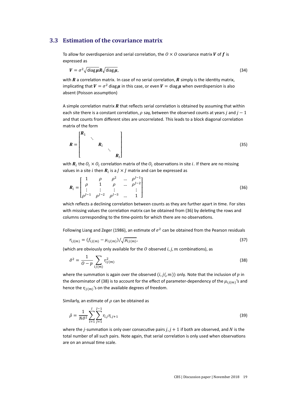### **3.3 Estimation of the covariance matrix**

To allow for overdispersion and serial correlation, the  $0 \times 0$  covariance matrix V of f is expressed as

$$
V = \sigma^2 \sqrt{\text{diag}\,\mu} R \sqrt{\text{diag}\,\mu},\tag{34}
$$

with  $R$  a correlation matrix. In case of no serial correlation,  $R$  simply is the identity matrix, implicating that  $V = \sigma^2$  diag  $\mu$  in this case, or even  $V = \text{diag }\mu$  when overdispersion is also absent (Poisson assumption)

A simple correlation matrix  $R$  that reflects serial correlation is obtained by assuming that within each site there is a constant correlation,  $\rho$  say, between the observed counts at years *j* and  $j-1$ and that counts from different sites are uncorrelated. This leads to a block diagonal correlation matrix of the form

$$
R = \begin{bmatrix} R_1 & & & \\ & \ddots & & \\ & & R_i & \\ & & & R_l \end{bmatrix} \tag{35}
$$

with  $\bm{R}_i$  the  $O_i \times O_i$  correlation matrix of the  $O_i$  observations in site  $i$ . If there are no missing values in a site i then  $\boldsymbol{R}_i$  is a  $J\times J$  matrix and can be expressed as

$$
\boldsymbol{R}_{i} = \begin{bmatrix} 1 & \rho & \rho^{2} & \dots & \rho^{J-1} \\ \rho & 1 & \rho & \dots & \rho^{J-2} \\ \vdots & \vdots & \vdots & & \vdots \\ \rho^{J-1} & \rho^{J-2} & \rho^{J-3} & \dots & 1 \end{bmatrix}
$$
(36)

which reflects a declining correlation between counts as they are further apart in time. For sites with missing values the correlation matrix can be obtained from (36) by deleting the rows and columns corresponding to the time-points for which there are no observations.

Following Liang and Zeger (1986), an estimate of  $\sigma^2$  can be obtained from the Pearson residuals

$$
r_{ij(m)} = (f_{ij(m)} - \mu_{ij(m)}) / \sqrt{\mu_{ij(m)}},\tag{37}
$$

(which are obviously only available for the  $O$  observed  $i, j, m$  combinations), as

$$
\hat{\sigma}^2 = \frac{1}{O - p} \sum_{ij(m)} r_{ij(m)}^2 \tag{38}
$$

where the summation is again over the observed  $(i, j, m)$  only. Note that the inclusion of  $p$  in the denominator of (38) is to account for the effect of parameter-dependency of the  $\mu_{ij(m)}$ 's and hence the  $r_{ii(m)}$ 's on the available degrees of freedom.

Similarly, an estimate of  $\rho$  can be obtained as

$$
\hat{\rho} = \frac{1}{N\hat{\sigma}^2} \sum_{i=1}^{I} \sum_{j=1}^{J-1} r_{i,j} r_{i,j+1}
$$
\n(39)

where the *j*-summation is only over consecutive pairs  $j, j + 1$  if both are observed, and N is the total number of all such pairs. Note again, that serial correlation is only used when observations are on an annual time scale.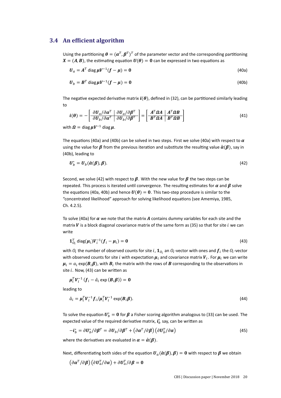### **3.4** An efficient algorithm

Using the partitioning  $\bm{\theta} = (\bm{\alpha}^T, \bm{\beta}^T)^T$  of the parameter vector and the corresponding partitioning  $X = (A, B)$ , the estimating equation  $U(\theta) = 0$  can be expressed in two equations as

$$
\boldsymbol{U}_a = \boldsymbol{A}^T \text{ diag } \boldsymbol{\mu} \boldsymbol{V}^{-1} (\boldsymbol{f} - \boldsymbol{\mu}) = \mathbf{0}
$$
\n(40a)

$$
\boldsymbol{U}_b = \boldsymbol{B}^T \text{ diag } \boldsymbol{\mu} \boldsymbol{V}^{-1} (\boldsymbol{f} - \boldsymbol{\mu}) = \mathbf{0}
$$
 (40b)

The negative expected derivative matrix  $i(\theta)$ , defined in (32), can be partitioned similarly leading to

$$
\boldsymbol{i}(\boldsymbol{\theta}) = -\left[\begin{array}{cc} \frac{\partial \boldsymbol{U}_{a}}{\partial \boldsymbol{\theta}}/\partial \boldsymbol{\alpha}^{T} & \frac{\partial \boldsymbol{U}_{a}}{\partial \boldsymbol{\theta}}/\partial \boldsymbol{\beta}^{T} \\ \frac{\partial \boldsymbol{U}_{b}}{\partial \boldsymbol{\alpha}^{T}} & \frac{\partial \boldsymbol{U}_{b}}{\partial \boldsymbol{\theta}}/\partial \boldsymbol{\beta}^{T} \end{array}\right] = \left[\begin{array}{cc} \boldsymbol{A}^{T} \boldsymbol{\Omega} \boldsymbol{A} & \boldsymbol{A}^{T} \boldsymbol{\Omega} \boldsymbol{B} \\ \boldsymbol{B}^{T} \boldsymbol{\Omega} \boldsymbol{A} & \boldsymbol{B}^{T} \boldsymbol{\Omega} \boldsymbol{B} \end{array}\right]
$$
(41)

with  $\Omega = \text{diag} \mu V^{-1} \text{diag} \mu$ .

The equations (40a) and (40b) can be solved in two steps. First we solve (40a) with respect to  $\alpha$ using the value for  $\beta$  from the previous iteration and substitute the resulting value  $\hat{\alpha}(\beta)$ , say in (40b), leading to

$$
\boldsymbol{U}_b^* = \boldsymbol{U}_b(\hat{\boldsymbol{\alpha}}(\boldsymbol{\beta}), \boldsymbol{\beta}). \tag{42}
$$

Second, we solve (42) with respect to  $\beta$ . With the new value for  $\beta$  the two steps can be repeated. This process is iterated until convergence. The resulting estimates for  $\alpha$  and  $\beta$  solve the equations (40a, 40b) and hence  $U(\theta) = 0$ . This two-step procedure is similar to the "concentrated likelihood" approach for solving likelihood equations (see Amemiya, 1985, Ch. 4.2.5).

To solve (40a) for  $\alpha$  we note that the matrix A contains dummy variables for each site and the matrix  $V$  is a block diagonal covariance matrix of the same form as (35) so that for site  $i$  we can write

$$
\mathbf{1}_{O_i}^T \operatorname{diag}(\boldsymbol{\mu}_i) \boldsymbol{V}_i^{-1} (\boldsymbol{f}_i - \boldsymbol{\mu}_i) = \mathbf{0}
$$
\n(43)

with  $O_i$  the number of observed counts for site  $i$ ,  $\mathbf{1}_{O_i}$  an  $O_i$ -vector with ones and  $\pmb{f}_i$  the  $O_i$ -vector with observed counts for site  $i$  with expectation  $\pmb{\mu}_i$  and covariance matrix  $\pmb{V}_i.$  For  $\pmb{\mu}_i$  we can write  $\pmb{\mu}_i = a_i \exp(\pmb{B}_i\pmb{\beta})$ , with  $\pmb{B}_i$  the matrix with the rows of  $\pmb{B}$  corresponding to the observations in site  $i$ . Now, (43) can be written as

$$
\boldsymbol{\mu}_i^T \boldsymbol{V}_i^{-1} \left( \boldsymbol{f}_i - \hat{a}_i \exp \left( \boldsymbol{B}_i \boldsymbol{\beta} \right) \right) = \mathbf{0}
$$

leading to

$$
\hat{a}_i = \mu_i^T V_i^{-1} f_i / \mu_i^T V_i^{-1} \exp(B_i \beta).
$$
\n(44)

To solve the equation  $\bm{U}_b^*=\bm{0}$  for  $\bm{\beta}$  a Fisher scoring algorithm analogous to (33) can be used. The expected value of the required derivative matrix,  $i^*_b$  say, can be written as

$$
-i_D^* = \partial U_D^* / \partial \beta^T = \partial U_D / \partial \beta^T + (\partial \alpha^T / \partial \beta) (\partial U_D^T / \partial \alpha)
$$
\n(45)

where the derivatives are evaluated in  $\alpha = \hat{\alpha}(\beta)$ .

Next, differentiating both sides of the equation  $U_a(\hat{\alpha}(\beta), \beta) = 0$  with respect to  $\beta$  we obtain

$$
\left(\partial \alpha^T/\partial \boldsymbol{\beta}\right)\left(\partial \boldsymbol{U}_a^T/\partial \boldsymbol{\alpha}\right)+\partial \boldsymbol{U}_a^T/\partial \boldsymbol{\beta}=\boldsymbol{0}
$$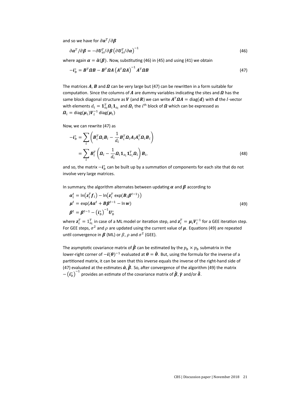and so we have for  $\partial \alpha^T/\partial \beta$ 

$$
\partial \alpha^T / \partial \beta = -\partial U_a^T / \partial \beta \left( \partial U_a^T / \partial \alpha \right)^{-1}
$$
\n(46)

where again  $\alpha = \hat{\alpha}(\beta)$ . Now, substituting (46) in (45) and using (41) we obtain

$$
-\boldsymbol{i}_{b}^{*} = \boldsymbol{B}^{T} \boldsymbol{\Omega} \boldsymbol{B} - \boldsymbol{B}^{T} \boldsymbol{\Omega} \boldsymbol{A} \left(\boldsymbol{A}^{T} \boldsymbol{\Omega} \boldsymbol{A}\right)^{-1} \boldsymbol{A}^{T} \boldsymbol{\Omega} \boldsymbol{B}
$$
\n(47)

The matrices A, B and  $\Omega$  can be very large but (47) can be rewritten in a form suitable for computation. Since the columns of A are dummy variables indicating the sites and  $\Omega$  has the same block diagonal structure as  $V$  (and  $R$ ) we can write  $A^T \Omega A = \text{diag}(\bm{d})$  with  $\bm{d}$  the  $I$ -vector with elements  $d_i = \mathbf{1}_{o_i}^T \bm{\varOmega}_i \mathbf{1}_{o_i}$  and  $\bm{\varOmega}_i$  the  $i^{\text{th}}$  block of  $\bm{\varOmega}$  which can be expressed as  $\boldsymbol{\varOmega}_{i} = \mathsf{diag}(\boldsymbol{\mu}_{i})\boldsymbol{V}_{i}^{-1}\,\mathsf{diag}(\boldsymbol{\mu}_{i})$ 

Now, we can rewrite (47) as

$$
-i_{b}^{*} = \sum_{i} \left( \boldsymbol{B}_{i}^{T} \boldsymbol{\Omega}_{i} \boldsymbol{B}_{i} - \frac{1}{d_{i}} \boldsymbol{B}_{i}^{T} \boldsymbol{\Omega}_{i} \boldsymbol{A}_{i} \boldsymbol{A}_{i}^{T} \boldsymbol{\Omega}_{i} \boldsymbol{B}_{i} \right)
$$

$$
= \sum_{i} \boldsymbol{B}_{i}^{T} \left( \boldsymbol{\Omega}_{i} - \frac{1}{d_{i}} \boldsymbol{\Omega}_{i} \boldsymbol{1}_{o_{i}} \boldsymbol{1}_{o_{i}}^{T} \boldsymbol{\Omega}_{i} \right) \boldsymbol{B}_{i}, \qquad (48)
$$

and so, the matrix  $-i_b^*$  can be built up by a summation of components for each site that do not involve very large matrices.

In summary, the algorithm alternates between updating  $\alpha$  and  $\beta$  according to

$$
\alpha_i^t = \ln(z_i^T f_i) - \ln(z_i^T \exp(B_i \beta^{t-1}))
$$
  
\n
$$
\mu^t = \exp(A\alpha^t + B\beta^{t-1} - \ln w)
$$
  
\n
$$
\beta^t = \beta^{t-1} - (i_b^*)^{-1} U_b^*
$$
\n(49)

where  $\mathbf{z}_i^T = 1_{o_i}^T$  in case of a ML model or iteration step, and  $\mathbf{z}_i^T = \boldsymbol{\mu}_i \boldsymbol{V}_i^{-1}$  for a GEE iteration step. For GEE steps,  $\sigma^2$  and  $\rho$  are updated using the current value of  $\mu$ . Equations (49) are repeated until convergence in  $\beta$  (ML) or  $\beta$ ,  $\rho$  and  $\sigma^2$  (GEE).

The asymptotic covariance matrix of  $\hat{\beta}$  can be estimated by the  $p_b \times p_b$  submatrix in the lower-right corner of  $-i(\theta)^{-1}$  evaluated at  $\theta = \hat{\theta}$ . But, using the formula for the inverse of a partitioned matrix, it can be seen that this inverse equals the inverse of the right-hand side of (47) evaluated at the estimates  $\hat{\alpha}$ ,  $\hat{\beta}$ . So, after convergence of the algorithm (49) the matrix  $-\left(t_b^*\right)^{-1}$  provides an estimate of the covariance matrix of  $\hat{\beta}$ ,  $\hat{\gamma}$  and/or  $\hat{\delta}$ .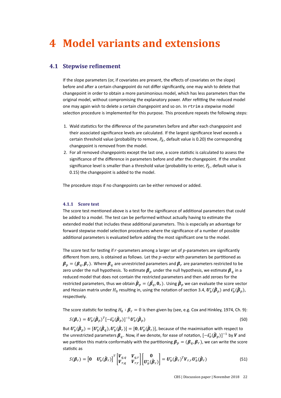# **4 Model variants and extensions**

### **4.1 Stepwise refinement**

If the slope parameters (or, if covariates are present, the effects of covariates on the slope) before and after a certain changepoint do not differ significantly, one may wish to delete that changepoint in order to obtain a more parsimonious model, which has less parameters than the original model, without compromising the explanatory power. After refitting the reduced model one may again wish to delete a certain changepoint and so on. In rtrim a stepwise model selection procedure is implemented for this purpose. This procedure repeats the following steps:

- 1. Wald statistics for the difference of the parameters before and after each changepoint and their associated significance levels are calculated. If the largest significance level exceeds a certain threshold value (probability to remove,  $P_R$ , default value is 0.20) the corresponding changepoint is removed from the model.
- 2. For all removed changepoints except the last one, a score statistic is calculated to assess the significance of the difference in parameters before and after the changepoint. If the smallest significance level is smaller than a threshold value (probability to enter,  $P_E$ , default value is 0.15) the changepoint is added to the model.

The procedure stops if no changepoints can be either removed or added.

### **4.1.1 Score test**

The score test mentioned above is a test for the significance of additional parameters that could be added to a model. The test can be performed without actually having to estimate the extended model that includes these additional parameters. This is especially an advantage for forward stepwise model selection procedures where the significance of a number of possible additional parameters is evaluated before adding the most significant one to the model.

The score test for testing if  $r$ -parameters among a larger set of  $p$ -parameters are significantly different from zero, is obtained as follows. Let the  $p$ -vector with parameters be partitioned as  $\beta_p = (\beta_q, \beta_r)$ . Where  $\beta_q$  are unrestricted parameters and  $\beta_r$  are parameters restricted to be zero under the null hypothesis. To estimate  $\beta_p$  under the null hypothesis, we estimate  $\beta_q$  in a reduced model that does not contain the restricted parameters and then add zeroes for the restricted parameters, thus we obtain  $\hat{\bm{\beta}}_p=(\hat{\bm{\beta}_q},\bm{0}_r)$ . Using  $\hat{\bm{\beta}}_p$  we can evaluate the score vector and Hessian matrix under  $H_0$  resulting in, using the notation of section 3.4,  $\bm U_b^*(\hat{\bm\beta}_p)$  and  $\bm i_b^*(\hat{\bm\beta}_p)$ , respectively.

The score statistic for testing  $H_0: \boldsymbol{\beta}_r = 0$  is then given by (see, e.g. Cox and Hinkley, 1974, Ch. 9):

$$
S(\boldsymbol{\beta}_r) = \boldsymbol{U}_b^* (\hat{\boldsymbol{\beta}}_p)^T [-\boldsymbol{i}_b^* (\hat{\boldsymbol{\beta}}_p)]^{-1} \boldsymbol{U}_b^* (\hat{\boldsymbol{\beta}}_p)
$$
(50)

But  $\bm U_b^*(\hat{\bm\beta}_p)=[\bm U_b^*(\hat{\bm\beta}_q),\bm U_b^*(\hat{\bm\beta}_r)]=[\bm 0,\bm U_b^*(\hat{\bm\beta}_r)]$ , because of the maximisation with respect to the unrestricted parameters  $\pmb{\beta}_q.$  Now, if we denote, for ease of notation,  $[-\pmb t_b^*(\hat{\pmb{\beta}}_p)]^{-1}$  by  $\pmb{V}$  and we partition this matrix conformably with the partitioning  $\beta_p = (\beta_q, \beta_r)$ , we can write the score statistic as

$$
S(\boldsymbol{\beta}_r) = \begin{bmatrix} 0 & \boldsymbol{U}_b^*(\hat{\boldsymbol{\beta}}_r) \end{bmatrix}^T \begin{bmatrix} \boldsymbol{V}_{q,q} & \boldsymbol{V}_{q,r} \\ \boldsymbol{V}_{r,q} & \boldsymbol{V}_{r,r} \end{bmatrix} \begin{bmatrix} 0 \\ \boldsymbol{U}_b^*(\hat{\boldsymbol{\beta}}_r) \end{bmatrix} = \boldsymbol{U}_b^*(\hat{\boldsymbol{\beta}}_r)^T \boldsymbol{V}_{r,r} \boldsymbol{U}_b^*(\hat{\boldsymbol{\beta}}_r)
$$
(51)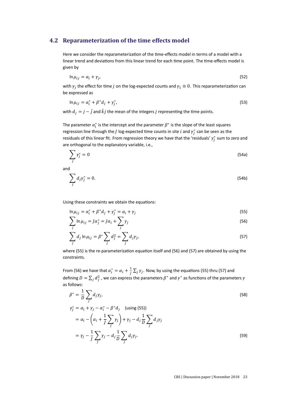### **4.2 Reparameterization of the time effects model**

Here we consider the reparameterization of the time-effects model in terms of a model with a linear trend and deviations from this linear trend for each time point. The time-effects model is given by

$$
\ln \mu_{ij} = \alpha_i + \gamma_j,\tag{52}
$$

with  $\gamma_j$  the effect for time  $j$  on the log-expected counts and  $\gamma_1\equiv 0$ . This reparameterization can be expressed as

$$
\ln \mu_{ij} = \alpha_i^* + \beta^* d_j + \gamma_j^*,
$$
\n<sup>(53)</sup>

with  $d_i = j - \overline{j}$  and  $\overline{k}j$  the mean of the integers  $j$  representing the time points.

The parameter  $\alpha_i^*$  is the intercept and the parameter  $\beta^*$  is the slope of the least squares regression line through the *J* log-expected time counts in site *i* and  $\gamma_j^*$  can be seen as the residuals of this linear fit. From regression theory we have that the 'residuals'  $\gamma^*_j$  sum to zero and are orthogonal to the explanatory variable, i.e.,

$$
\sum_{j} \gamma_{j}^{*} = 0 \tag{54a}
$$

and

$$
\sum_{j} d_j \gamma_j^* = 0. \tag{54b}
$$

Using these constraints we obtain the equations:

$$
\ln \mu_{ij} = \alpha_i^* + \beta^* d_j + \gamma_j^* = \alpha_i + \gamma_j \tag{55}
$$

$$
\sum_{j} \ln \mu_{ij} = J\alpha_j^* = J\alpha_i + \sum_{j} \gamma_j \tag{56}
$$

$$
\sum_{j} d_j \ln \mu_{ij} = \beta^* \sum_{j} d_j^2 = \sum_{j} d_j \gamma_j,
$$
\n(57)

where (55) is the re-parameterization equation itself and (56) and (57) are obtained by using the constraints.

From (56) we have that  $\alpha_i^* = \alpha_i + \frac{1}{l}$  $\frac{1}{J}\sum_j \gamma_j$ . Now, by using the equations (55) thru (57) and defining  $D = \sum_j d_j^2$  , we can express the parameters  $\beta^*$  and  $\gamma^*$  as functions of the parameters  $\gamma$ as follows:

$$
\beta^* = \frac{1}{D} \sum_j d_j \gamma_j,
$$
  
\n
$$
\gamma_j^* = \alpha_i + \gamma_j - \alpha_i^* - \beta^* d_j \quad \text{(using (55))}
$$
  
\n
$$
= \alpha_i - \left(\alpha_i + \frac{1}{J} \sum_j \gamma_j\right) + \gamma_j - d_j \frac{1}{D} \sum_j d_j \gamma_j
$$
  
\n
$$
= \gamma_j - \frac{1}{J} \sum_j \gamma_j - d_j \frac{1}{D} \sum_j d_j \gamma_j.
$$
\n(59)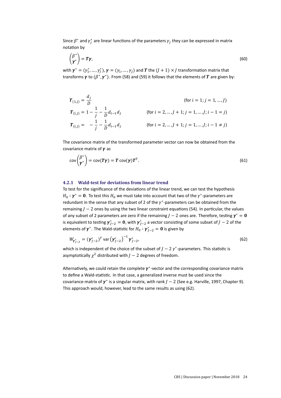Since  $\beta^*$  and  $\gamma_j^*$  are linear functions of the parameters  $\gamma_j$  they can be expressed in matrix notation by

$$
\begin{pmatrix} \beta^* \\ \gamma^* \end{pmatrix} = T\gamma, \tag{60}
$$

with  $\bm{\gamma}^*=(\gamma_1^*,\ldots,\gamma_J^*)$ ,  $\bm{\gamma}=(\gamma_1,\ldots,\gamma_J)$  and  $\bm{T}$  the  $(J+1)\times J$  transformation matrix that transforms  $\gamma$  to  $(\beta^*, \gamma^*)$ . From (58) and (59) it follows that the elements of  $T$  are given by:

$$
T_{(1,j)} = \frac{d_j}{D}
$$
 (for  $i = 1; j = 1, ..., J$ )  
\n
$$
T_{(i,j)} = 1 - \frac{1}{j} - \frac{1}{D}d_{i-1}d_j
$$
 (for  $i = 2, ..., J + 1; j = 1, ..., J; i - 1 = j$ )  
\n
$$
T_{(i,j)} = -\frac{1}{j} - \frac{1}{D}d_{i-1}d_j
$$
 (for  $i = 2, ..., J + 1; j = 1, ..., J; i - 1 \neq j$ )

The covariance matrix of the transformed parameter vector can now be obtained from the covariance matrix of  $\gamma$  as

$$
cov\begin{pmatrix} \beta^* \\ \gamma^* \end{pmatrix} = cov(T\gamma) = T cov(\gamma)T^T.
$$
 (61)

### **4.2.1 Wald-test for deviations from linear trend**

∗

To test for the significance of the deviations of the linear trend, we can test the hypothesis  $H_0: \gamma^* = \mathbf{0}$ . To test this  $H_0$  we must take into account that two of the  $\gamma^*$ -parameters are redundant in the sense that any subset of 2 of the  $\gamma^*$ -parameters can be obtained from the remaining  *ones by using the two linear constraint equations (54). In particular, the values* of any subset of 2 parameters are zero if the remaining  $J-2$  ones are. Therefore, testing  $\gamma^*=0$ is equivalent to testing  $\boldsymbol{\gamma}^*_{J-2} = \boldsymbol{0}$ , with  $\boldsymbol{\gamma}^*_{J-2}$  a vector consisting of some subset of  $J-2$  of the elements of  $\gamma^*$ . The Wald-statistic for  $H_0$  :  $\gamma^*_{J-2} = \mathbf{0}$  is given by

$$
W_{\boldsymbol{v}_{J-2}^*} = (\boldsymbol{v}_{J-2}^*)^T \operatorname{var}(\boldsymbol{v}_{J-2}^*)^{-1} \boldsymbol{v}_{J-2}^*,
$$
\n(62)

which is independent of the choice of the subset of  $J-2\gamma^*$ -parameters. This statistic is asymptotically  $\chi^2$  distributed with  $J-2$  degrees of freedom.

Alternatively, we could retain the complete  $\gamma^*$ -vector and the corresponding covariance matrix to define a Wald-statistic. In that case, a generalized inverse must be used since the covariance-matrix of  $\gamma^*$  is a singular matrix, with rank  $J-2$  (See e.g. Harville, 1997, Chapter 9). This approach would, however, lead to the same results as using (62).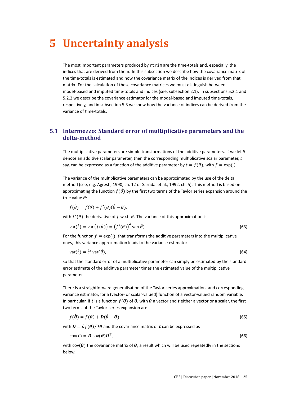## **5 Uncertainty analysis**

The most important parameters produced by rtrim are the time-totals and, especially, the indices that are derived from them. In this subsection we describe how the covariance matrix of the time-totals is estimated and how the covariance matrix of the indices is derived from that matrix. For the calculation of these covariance matrices we must distinguish between model-based and imputed time-totals and indices (see, subsection 2.1). In subsections 5.2.1 and 5.2.2 we describe the covariance estimator for the model-based and imputed time-totals, respectively, and in subsection 5.3 we show how the variance of indices can be derived from the variance of time-totals.

## **5.1 Intermezzo: Standard error of multiplicative parameters and the delta-method**

The multiplicative parameters are simple transformations of the additive parameters. If we let  $\theta$ denote an additive scalar parameter, then the corresponding multiplicative scalar parameter,  $t$ say, can be expressed as a function of the additive parameter by  $t = f(\theta)$ , with  $f = \exp(.)$ .

The variance of the multiplicative parameters can be approximated by the use of the delta method (see, e.g. Agresti, 1990, ch. 12 or Särndal et al., 1992, ch. 5). This method is based on approximating the function  $f(\hat{\theta})$  by the first two terms of the Taylor series expansion around the true value  $\theta$ :

$$
f(\hat{\theta}) = f(\theta) + f'(\theta)(\hat{\theta} - \theta),
$$

with  $f'(\theta)$  the derivative of f w.r.t.  $\theta$ . The variance of this approximation is

$$
var(\hat{t}) = var(f(\hat{\theta})) = (f'(\theta))^2 var(\hat{\theta}).
$$
\n(63)

For the function  $f = \exp(\cdot)$ , that transforms the additive parameters into the multiplicative ones, this variance approximation leads to the variance estimator

$$
var(\hat{t}) = \hat{t}^2 var(\hat{\theta}),
$$
\n(64)

so that the standard error of a multiplicative parameter can simply be estimated by the standard error estimate of the additive parameter times the estimated value of the multiplicative parameter.

There is a straightforward generalisation of the Taylor-series approximation, and corresponding variance estimator, for a (vector- or scalar-valued) function of a vector-valued random variable. In particular, if t is a function  $f(\theta)$  of  $\theta$ , with  $\theta$  a vector and t either a vector or a scalar, the first two terms of the Taylor-series expansion are

$$
f(\hat{\boldsymbol{\theta}}) = f(\boldsymbol{\theta}) + \mathbf{D}(\hat{\boldsymbol{\theta}} - \boldsymbol{\theta})
$$
\n(65)

with  $\mathbf{D} = \partial f(\mathbf{\theta})/\partial \mathbf{\theta}$  and the covariance matrix of  $\mathbf{t}$  can be expressed as

$$
cov(t) = D cov(\theta)D^{T},
$$
\n(66)

with cov( $\theta$ ) the covariance matrix of  $\theta$ , a result which will be used repeatedly in the sections below.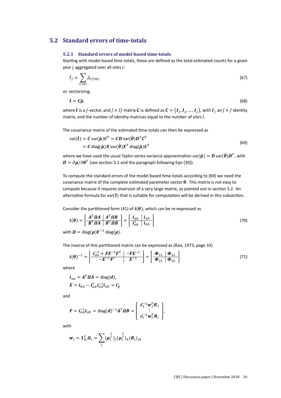## **5.2 Standard errors of time-totals**

### **5.2.1 Standard errors of model based time-totals**

Starting with model based time totals, these are defined as the total estimated counts for a given year  $j$  aggregated over all sites  $i$ :

$$
\hat{t}_j = \sum_{i(m)} \hat{\mu}_{ij(m)} \tag{67}
$$

or, vectorizing,

$$
\hat{\boldsymbol{t}} = \boldsymbol{C}\hat{\boldsymbol{\mu}} \tag{68}
$$

where  $\hat{\bm{t}}$  is a  $J$ -vector, and  $J\times IJ$  matrix  $\bm{C}$  is defined as  $\bm{C}=(\bm{I}_J,\bm{I}_J,...,\bm{I}_J)$ , with  $\bm{I}_J$  an  $J\times J$  identity matrix, and the number of identity matrices equal to the number of sites  $I$ .

The covariance matrix of the estimated time-totals can then be expressed as

$$
var(\hat{t}) = C \operatorname{var}(\hat{\mu}) C^{T} = CD \operatorname{var}(\hat{\theta}) D^{T} C^{T}
$$
  
= C \operatorname{diag}(\hat{\mu}) X \operatorname{var}(\hat{\theta}) X^{T} \operatorname{diag}(\hat{\mu}) C^{T} (69)

where we have used the usual Taylor-series variance approximation var $(\hat{\mu}) = \bm{D}$  var $(\hat{\bm{\theta}}) \bm{D}^T$ , with  $\boldsymbol{D}=\partial\boldsymbol{\mu}/\partial\boldsymbol{\theta}^T$  (see section 5.1 and the paragraph following Eqn (30)).

To compute the standard errors of the model based time-totals according to (69) we need the covariance matrix of the complete estimated parameter vector  $\theta$ . This matrix is not easy to compute because it requires inversion of a very large matrix, as pointed out in section 3.2. An alternative formula for var $(\hat{\boldsymbol{t}})$  that is suitable for computation will be derived in this subsection.

Consider the partitioned form (41) of  $\mathbf{i}(\theta)$ , which can be re-expressed as

$$
\boldsymbol{i}(\boldsymbol{\theta}) = \left[\begin{array}{c|c} A^T \Omega A & A^T \Omega B \\ \hline B^T \Omega A & B^T \Omega B \end{array}\right] = \left[\begin{array}{c|c} \boldsymbol{i}_{aa} & \boldsymbol{i}_{ab} \\ \hline \boldsymbol{i}_{ab}^T & \boldsymbol{i}_{bb} \end{array}\right] \tag{70}
$$

with  $\Omega = \text{diag}(\mu)V^{-1}$  diag( $\mu$ ).

The inverse of this partitioned matrix can be expressed as (Rao, 1973, page 33)

$$
\boldsymbol{i}(\boldsymbol{\theta})^{-1} = \begin{bmatrix} \boldsymbol{i}_{aa}^{-1} + \boldsymbol{F} \boldsymbol{E}^{-1} \boldsymbol{F}^T & -\boldsymbol{F} \boldsymbol{E}^{-1} \\ -\boldsymbol{E}^{-1} \boldsymbol{F}^T & \boldsymbol{E}^{-1} \end{bmatrix} = \begin{bmatrix} \boldsymbol{\Phi}_{11} & \boldsymbol{\Phi}_{12} \\ \boldsymbol{\Phi}_{21} & \boldsymbol{\Phi}_{22} \end{bmatrix}
$$
(71)

where

$$
\mathbf{i}_{aa} = A^T \Omega A = \text{diag}(\mathbf{d}),
$$
  

$$
\mathbf{E} = \mathbf{i}_{bb} - \mathbf{i}_{ab}^T \mathbf{i}_{aa}^{-1} \mathbf{i}_{ab} = \mathbf{i}_{\beta}^*
$$

and

$$
\boldsymbol{F} = \boldsymbol{i}_{aa}^{-1} \boldsymbol{i}_{ab} = \text{diag}(\boldsymbol{d})^{-1} \boldsymbol{A}^T \boldsymbol{\Omega} \boldsymbol{B} = \begin{bmatrix} d_1^{-1} \boldsymbol{w}_1^T \boldsymbol{B}_1 \\ \vdots \\ d_I^{-1} \boldsymbol{w}_I^T \boldsymbol{B}_I \end{bmatrix},
$$

with

$$
\mathbf{w}_i = \mathbf{1}_{0_i}^T \mathbf{\Omega}_i = \sum_j (\mu_i^{\frac{1}{2}})_j (\mu_i^{\frac{1}{2}})_k (\mathbf{R}_i)_{jk}
$$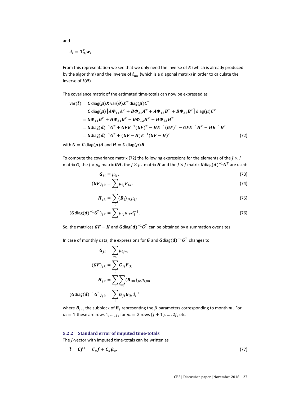$$
d_i = \mathbf{1}_{O_i}^T \mathbf{w}_i
$$

From this representation we see that we only need the inverse of  $E$  (which is already produced by the algorithm) and the inverse of  $i_{aa}$  (which is a diagonal matrix) in order to calculate the inverse of  $\mathbf{i}(\boldsymbol{\theta})$ .

The covariance matrix of the estimated time-totals can now be expressed as

$$
\begin{split}\n\text{var}(\hat{\boldsymbol{t}}) &= C \operatorname{diag}(\boldsymbol{\mu}) X \, \text{var}(\hat{\boldsymbol{\theta}}) X^T \, \text{diag}(\boldsymbol{\mu}) C^T \\
&= C \operatorname{diag}(\boldsymbol{\mu}) \left[ A \boldsymbol{\Phi}_{11} A^T + B \boldsymbol{\Phi}_{21} A^T + A \boldsymbol{\Phi}_{12} B^T + B \boldsymbol{\Phi}_{22} B^T \right] \text{diag}(\boldsymbol{\mu}) C^T \\
&= G \boldsymbol{\Phi}_{11} G^T + H \boldsymbol{\Phi}_{21} G^T + G \boldsymbol{\Phi}_{12} H^T + H \boldsymbol{\Phi}_{22} H^T \\
&= G \text{diag}(d)^{-1} G^T + G F E^{-1} (G F)^T - H E^{-1} (G F)^T - G F E^{-1} H^T + H E^{-1} H^T \\
&= G \text{diag}(d)^{-1} G^T + (G F - H) E^{-1} (G F - H)^T\n\end{split} \tag{72}
$$

with  $G = C \text{ diag}(\mu) A$  and  $H = C \text{ diag}(\mu) B$ .

To compute the covariance matrix (72) the following expressions for the elements of the  $J \times I$ matrix  $\bm{G}$ , the  $J\times p_b$  matrix  $\bm{G}\bm{H}$ , the  $J\times p_b$  matrix  $\bm{H}$  and the  $J\times J$  matrix  $\bm{G}$ diag $(\bm{d})^{-1}\bm{G}^T$  are used:

$$
G_{ji} = \mu_{ij},\tag{73}
$$

$$
(\boldsymbol{G}\boldsymbol{F})_{jk} = \sum_{i} \mu_{ij} \boldsymbol{F}_{ik}, \tag{74}
$$

$$
\boldsymbol{H}_{jk} = \sum_{i} (\boldsymbol{B}_{i})_{jk} \mu_{ij} \tag{75}
$$

$$
(\mathbf{G}\mathrm{diag}(\mathbf{d})^{-1}\mathbf{G}^{T})_{jk} = \sum_{i} \mu_{ij} \mu_{ik} d_{i}^{-1}.
$$
 (76)

So, the matrices  $\bm{G} \bm{F} - \bm{H}$  and  $\bm{G}$ diag $(\bm{d})^{-1} \bm{G}^T$  can be obtained by a summation over sites.

In case of monthly data, the expressions for  $\bm{G}$  and  $\bm{G}$ diag $(\bm{d})^{-1}\bm{G}^T$  changes to

$$
G_{ji} = \sum_{m} \mu_{ijm}
$$

$$
(GF)_{jk} = \sum_{i} G_{ji} F_{ik}
$$

$$
H_{jk} = \sum_{i} \sum_{m} (B_{im})_{jk} \mu_{ijm}
$$

$$
(G \text{diag}(d)^{-1} G^{T})_{jk} = \sum_{i} G_{ji} G_{ik} d_{i}^{-1}
$$

where  $\bm{B}_{im}$  the subblock of  $\bm{B}_l$  representing the  $\beta$  parameters corresponding to month  $m$ . For  $m = 1$  these are rows 1, ..., *J*, for  $m = 2$  rows  $(J + 1)$ , ..., 2*J*, etc.

### **5.2.2 Standard error of imputed time-totals**

The  $J$ -vector with imputed time-totals can be written as

$$
\tilde{\boldsymbol{t}} = \boldsymbol{C} \boldsymbol{f}^+ = \boldsymbol{C}_o \boldsymbol{f} + \boldsymbol{C}_x \hat{\boldsymbol{\mu}}_x, \tag{77}
$$

and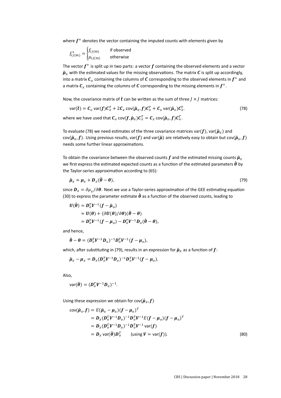where  $f^+$  denotes the vector containing the imputed counts with elements given by

$$
f_{ij(m)}^{+} = \begin{cases} f_{ij(m)} & \text{if observed} \\ \mu_{ij(m)} & \text{otherwise} \end{cases}
$$

The vector  $f^+$  is split up in two parts: a vector  $f$  containing the observed elements and a vector  $\hat{\mu}_x$  with the estimated values for the missing observations. The matrix C is split up accordingly, into a matrix  $\bm{\mathcal{C}}_o$  containing the columns of  $\bm{\mathcal{C}}$  corresponding to the observed elements in  $\bm{f^+}$  and a matrix  $\mathcal{C}_\chi$  containing the columns of  $\mathcal C$  corresponding to the missing elements in  $f^+$ .

Now, the covariance matrix of  $\tilde{t}$  can be written as the sum of three  $J \times J$  matrices:

$$
\text{var}(\tilde{\boldsymbol{t}}) = \boldsymbol{C}_o \text{var}(f) \boldsymbol{C}_o^T + 2 \boldsymbol{C}_x \text{cov}(\hat{\boldsymbol{\mu}}_x, f) \boldsymbol{C}_o^T + \boldsymbol{C}_x \text{var}(\hat{\boldsymbol{\mu}}_x) \boldsymbol{C}_x^T. \tag{78}
$$

where we have used that  $\bm{\mathcal{C}}_o$  cov $(\bm{f},\hat{\bm{\mu}}_x)\bm{\mathcal{C}}_x^T = \bm{\mathcal{C}}_x$  cov $(\hat{\bm{\mu}}_x,\bm{f})\bm{\mathcal{C}}_o^T$ .

To evaluate (78) we need estimates of the three covariance matrices var( $f$ ), var( $\hat{\boldsymbol{\mu}}_{\chi}$ ) and cov( $(\hat{\mu}_x, f)$ . Using previous results, var(f) and var( $(\hat{\mu})$  are relatively easy to obtain but cov( $(\hat{\mu}_x, f)$ needs some further linear approximations.

To obtain the covariance between the observed counts f and the estimated missing counts  $\hat{\mu}_x$ we first express the estimated expected counts as a function of the estimated parameters  $\hat{\boldsymbol{\theta}}$  by the Taylor-series approximation according to (65):

$$
\hat{\boldsymbol{\mu}}_{\mathbf{x}} \approx \boldsymbol{\mu}_{\mathbf{x}} + \boldsymbol{D}_{\mathbf{x}} (\hat{\boldsymbol{\theta}} - \boldsymbol{\theta}), \tag{79}
$$

since  $\bm{D}_\chi = \partial\mu_\chi/\partial\bm{\theta}.$  Next we use a Taylor-series approximation of the GEE estimating equation (30) to express the parameter estimate  $\hat{\theta}$  as a function of the observed counts, leading to

$$
U(\hat{\theta}) = D_0^T V^{-1} (f - \hat{\mu}_o)
$$
  
\n
$$
\approx U(\theta) + (\partial U(\theta)/\partial \theta)(\hat{\theta} - \theta)
$$
  
\n
$$
= D_0^T V^{-1} (f - \mu_o) - D_0^T V^{-1} D_0 (\hat{\theta} - \theta),
$$

and hence,

$$
\hat{\boldsymbol{\theta}} - \boldsymbol{\theta} = (\boldsymbol{D}_o^T \boldsymbol{V}^{-1} \boldsymbol{D}_o)^{-1} \boldsymbol{D}_o^T \boldsymbol{V}^{-1} (\boldsymbol{f} - \boldsymbol{\mu}_o),
$$

which, after substituting in (79), results in an expression for  $\hat{\mu}_x$  as a function of  $f$ :

$$
\hat{\boldsymbol{\mu}}_x - \boldsymbol{\mu}_x = \boldsymbol{D}_x (\boldsymbol{D}_o^T \boldsymbol{V}^{-1} \boldsymbol{D}_o)^{-1} \boldsymbol{D}_o^T \boldsymbol{V}^{-1} (\boldsymbol{f} - \boldsymbol{\mu}_o).
$$

Also,

$$
var(\hat{\boldsymbol{\theta}}) = (\boldsymbol{D}_o^T \boldsymbol{V}^{-1} \boldsymbol{D}_o)^{-1}.
$$

Using these expression we obtain for cov $(\hat{\mu}_x, f)$ 

$$
cov(\hat{\mu}_x, f) = E(\hat{\mu}_x - \mu_x)(f - \mu_o)^T
$$
  
=  $D_x(D_o^T V^{-1} D_o)^{-1} D_o^T V^{-1} E(f - \mu_o)(f - \mu_o)^T$   
=  $D_x(D_o^T V^{-1} D_o)^{-1} D_o^T V^{-1} var(f)$   
=  $D_x var(\hat{\theta}) D_o^T$  (using  $V = var(f)$ ). (80)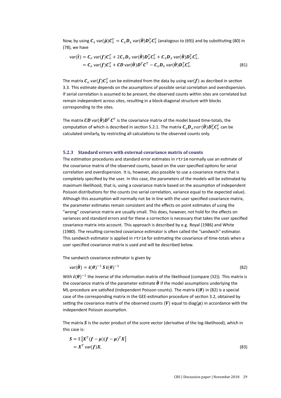Now, by using  $\pmb{C}_x$  var $(\hat{\pmb{\mu}}) \pmb{C}_x^T = \pmb{C}_x \pmb{D}_x$  var $(\hat{\pmb{\theta}}) \pmb{D}_x^T \pmb{C}_x^T$  (analogous to (69)) and by substituting (80) in (78), we have

$$
\begin{aligned}\n\text{var}(\tilde{\boldsymbol{t}}) &= \boldsymbol{C}_o \, \text{var}(f) \boldsymbol{C}_o^T + 2 \boldsymbol{C}_x \boldsymbol{D}_x \, \text{var}(\hat{\boldsymbol{\theta}}) \boldsymbol{D}_o^T \boldsymbol{C}_o^T + \boldsymbol{C}_x \boldsymbol{D}_x \, \text{var}(\hat{\boldsymbol{\theta}}) \boldsymbol{D}_x^T \boldsymbol{C}_x^T, \\
&= \boldsymbol{C}_o \, \text{var}(f) \boldsymbol{C}_o^T + \boldsymbol{C} \boldsymbol{D} \, \text{var}(\hat{\boldsymbol{\theta}}) \boldsymbol{D}_o^T \boldsymbol{C}_o^T - \boldsymbol{C}_o \boldsymbol{D}_o \, \text{var}(\hat{\boldsymbol{\theta}}) \boldsymbol{D}_o^T \boldsymbol{C}_o^T.\n\end{aligned}
$$
\n(81)

The matrix  $\bm{\mathcal{C}}_o$  var $(\bm{f})\bm{\mathcal{C}}_o^T$  can be estimated from the data by using var $(\bm{f})$  as decribed in section 3.3. This estimate depends on the assumptions of possible serial correlation and overdispersion. If serial correlation is assumed to be present, the observed counts within sites are correlated but remain independent across sites, resulting in a block-diagonal structure with blocks corresponding to the sites.

The matrix  $\bm{C}\bm{D}$  var $(\hat{\bm{\theta}})\bm{D}^T\bm{C}^T$  is the covariance matrix of the model based time-totals, the computation of which is described in section 5.2.1. The matrix  $\bm{\mathcal{C}}_o\bm{D}_ovar(\hat{\bm{\theta}})\bm{D}_o^T\bm{\mathcal{C}}_o^T$  can be calculated similarly, by restricting all calculations to the observed counts only.

### **5.2.3 Standard errors with external covariance matrix of counts**

The estimation procedures and standard error estimates in rtrim normally use an estimate of the covariance matrix of the observed counts, based on the user specified options for serial correlation and overdispersion. It is, however, also possible to use a covariance matrix that is completely specified by the user. In this case, the parameters of the models will be estimated by maximum likelihood, that is, using a covariance matrix based on the assumption of independent Poisson distributions for the counts (no serial correlation, variance equal to the expected value). Although this assumption will normally not be in line with the user specified covariance matrix, the parameter estimates remain consistent and the effects on point estimates of using the "wrong" covariance matrix are usually small. This does, however, not hold for the effects on variances and standard errors and for these a correction is necessary that takes the user specified covariance matrix into account. This approach is described by e.g. Royal (1986) and White (1980). The resulting corrected covariance estimator is often called the "sandwich" estimator. This sandwich estimator is applied in rtrim for estimating the covariance of time-totals when a user specified covariance matrix is used and will be described below.

The sandwich covariance estimator is given by

$$
var(\hat{\boldsymbol{\theta}}) = \boldsymbol{i}(\boldsymbol{\theta})^{-1} \boldsymbol{S} \boldsymbol{i}(\boldsymbol{\theta})^{-1}
$$
\n(82)

With  $\mathbf{i}(\theta)^{-1}$  the inverse of the information matrix of the likelihood (compare (32)). This matrix is the covariance matrix of the parameter estimate  $\hat{\theta}$  if the model assumptions underlying the ML-procedure are satisfied (independent Poisson counts). The matrix  $\mathbf{i}(\boldsymbol{\theta})$  in (82) is a special case of the corresponding matrix in the GEE-estimation procedure of section 3.2, obtained by setting the covariance matrix of the observed counts (V) equal to diag( $\mu$ ) in accordance with the independent Poisson assumption.

The matrix  $S$  is the outer product of the score vector (derivative of the log-likelihood), which in this case is:

$$
S = E[XT(f - \mu)(f - \mu)TX]
$$
  
= X<sup>T</sup> var(f)X, (83)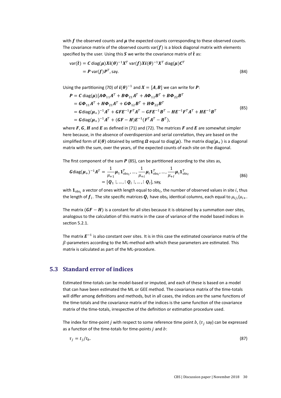with  $f$  the observed counts and  $\mu$  the expected counts corresponding to these observed counts. The covariance matrix of the observed counts var $(f)$  is a block diagonal matrix with elements specified by the user. Using this S we write the covariance matrix of  $\hat{t}$  as:

$$
\text{var}(\hat{\boldsymbol{t}}) = \boldsymbol{C} \text{ diag}(\boldsymbol{\mu}) \boldsymbol{X} \boldsymbol{i}(\boldsymbol{\theta})^{-1} \boldsymbol{X}^T \text{ var}(\boldsymbol{f}) \boldsymbol{X} \boldsymbol{i}(\boldsymbol{\theta})^{-1} \boldsymbol{X}^T \text{ diag}(\boldsymbol{\mu}) \boldsymbol{C}^T
$$
  
=  $\boldsymbol{P} \text{ var}(\boldsymbol{f}) \boldsymbol{P}^T$ , say. (84)

Using the partitioning (70) of  $\mathbf{i}(\boldsymbol{\theta})^{-1}$  and  $\mathbf{X} = [\mathbf{A}, \mathbf{B}]$  we can write for  $\boldsymbol{P}$ :

$$
P = C \operatorname{diag}(\mu) [A\Phi_{11}A^T + B\Phi_{21}A^T + A\Phi_{12}B^T + B\Phi_{22}B^T
$$
  
\n
$$
= G\Phi_{11}A^T + H\Phi_{21}A^T + G\Phi_{12}B^T + H\Phi_{22}B^T
$$
  
\n
$$
= G \operatorname{diag}(\mu_+)^{-1}A^T + GFE^{-1}F^T A^T - GFE^{-1}B^T - HE^{-1}F^T A^T + HE^{-1}B^T
$$
  
\n
$$
= G \operatorname{diag}(\mu_+)^{-1}A^T + (GF - H)E^{-1}(F^T A^T - B^T),
$$
\n(85)

where  $\bm{F}$ ,  $\bm{G}$ ,  $\bm{H}$  and  $\bm{E}$  as defined in (71) and (72). The matrices  $\bm{F}$  and  $\bm{E}$  are somewhat simpler here because, in the absence of overdispersion and serial correlation, they are based on the simplified form of  $\mathbf{i}(\theta)$  obtained by setting  $\Omega$  equal to diag( $\mu$ ). The matrix diag( $\mu$ <sub>+</sub>) is a diagonal matrix with the sum, over the years, of the expected counts of each site on the diagonal.

The first component of the sum  $P$  (85), can be partitioned according to the sites as,

$$
Gdiag(\mu_{+})^{-1}A^{T} = \frac{1}{\mu_{+1}}\mu_{1}\mathbf{1}_{obs_{1}}^{T}, \dots, \frac{1}{\mu_{+i}}\mu_{i}\mathbf{1}_{obs_{i}}^{T}, \dots, \frac{1}{\mu_{+i}}\mu_{i}\mathbf{1}_{obs_{i}}^{T}
$$
  
= 
$$
[\mathbf{Q}_{1}]; \dots; \mathbf{Q}_{i}; \dots; \mathbf{Q}_{I}], \text{say},
$$
 (86)

with  $\mathbf{1}_{\text{obs}_i}$  a vector of ones with length equal to obs $_i$ , the number of observed values in site  $i$ , thus the length of  $\pmb{f}_i.$  The site specific matrices  $\pmb{Q}_i$  have obs $_i$  identical columns, each equal to  $\mu_{ij}/\mu_{i+}.$ 

The matrix  $(GF - H)$  is a constant for all sites because it is obtained by a summation over sites, analogous to the calculation of this matrix in the case of variance of the model based indices in section 5.2.1.

The matrix  $E^{-1}$  is also constant over sites. It is in this case the estimated covariance matrix of the  $\beta$ -parameters according to the ML-method with which these parameters are estimated. This matrix is calculated as part of the ML-procedure.

### **5.3 Standard error of indices**

Estimated time-totals can be model-based or imputed, and each of these is based on a model that can have been estimated the ML or GEE method. The covariance matrix of the time-totals will differ among definitions and methods, but in all cases, the indices are the same functions of the time-totals and the covariance matrix of the indices is the same function of the covariance matrix of the time-totals, irrespective of the definition or estimation procedure used.

The index for time-point  $j$  with respect to some reference time point  $b$ , ( $\tau_j$  say) can be expressed as a function of the time-totals for time-points  $j$  and  $b$ :

$$
\tau_j = t_j / t_b. \tag{87}
$$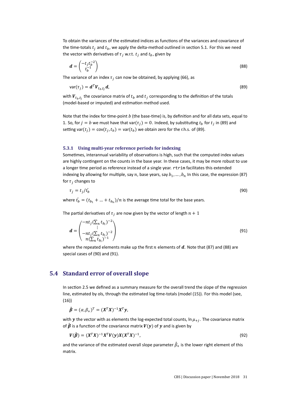To obtain the variances of the estimated indices as functions of the variances and covariance of the time-totals  $t_i$  and  $t_b$ , we apply the delta-method outlined in section 5.1. For this we need the vector with derivatives of  $\tau_i$  w.r.t.  $t_i$  and  $t_b$ , given by

$$
\boldsymbol{d} = \begin{pmatrix} -t_j t_b^{-2} \\ t_b^{-1} \end{pmatrix} \tag{88}
$$

The variance of an index  $\tau_i$  can now be obtained, by applying (66), as

$$
var(\tau_j) = \boldsymbol{d}^T \boldsymbol{V}_{t_b, t_j} \boldsymbol{d},\tag{89}
$$

with  $\boldsymbol{V}_{t_b,t_j}$  the covariance matrix of  $t_b$  and  $t_j$  corresponding to the definition of the totals (model-based or imputed) and estimation method used.

Note that the index for time-point  $b$  (the base-time) is, by definition and for all data sets, equal to 1. So, for  $j = b$  we must have that var $(\tau_j) = 0$ . Indeed, by substituting  $t_b$  for  $t_j$  in (89) and setting var $(t_j) = \text{cov}(t_j, t_b) = \text{var}(t_b)$  we obtain zero for the r.h.s. of (89).

#### **5.3.1 Using multi-year reference periods for indexing**

Sometimes, interannual variability of observations is high, such that the computed index values are highly contingent on the counts in the base year. In these cases, it may be more robust to use a longer time period as reference instead of a single year. rtrim facilitates this extended indexing by allowing for multiple, say n, base years, say  $b_1, ..., b_n$  In this case, the expression (87) for  $\tau_i$  changes to

$$
\tau_j = t_j / t_b \tag{90}
$$

where  $\bar{t}_b = (t_{b_1} + ... + t_{b_n})/n$  is the average time total for the base years.

The partial derivatives of  $\tau_i$  are now given by the vector of length  $n + 1$ 

$$
\boldsymbol{d} = \begin{pmatrix} -nt_j (\sum_n t_{b_i})^{-2} \\ \vdots \\ -nt_j (\sum_n t_{b_i})^{-2} \\ n(\sum_n t_{b_i})^{-1} \end{pmatrix}
$$
(91)

where the repeated elements make up the first  $n$  elements of  $d$ . Note that (87) and (88) are special cases of (90) and (91).

### **5.4 Standard error of overall slope**

In section 2.5 we defined as a summary measure for the overall trend the slope of the regression line, estimated by ols, through the estimated log time-totals (model (15)). For this model (see, (16))

$$
\hat{\boldsymbol{\beta}} = (\alpha, \beta_+)^T = (\boldsymbol{X}^T \boldsymbol{X})^{-1} \boldsymbol{X}^T \boldsymbol{y},
$$

with **y** the vector with as elements the log-expected total counts,  $\ln \mu_{+i}$ . The covariance matrix of  $\hat{\pmb{\beta}}$  is a function of the covariance matrix  $\pmb{V}(\pmb{y})$  of  $\pmb{y}$  and is given by

$$
V(\hat{\beta}) = (X^T X)^{-1} X^T V(y) X (X^T X)^{-1},
$$
\n(92)

and the variance of the estimated overall slope parameter  $\hat{\beta}_{+}$  is the lower right element of this matrix.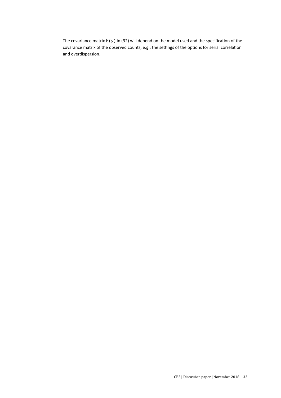The covariance matrix  $V(y)$  in (92) will depend on the model used and the specification of the covarance matrix of the observed counts, e.g., the settings of the options for serial correlation and overdispersion.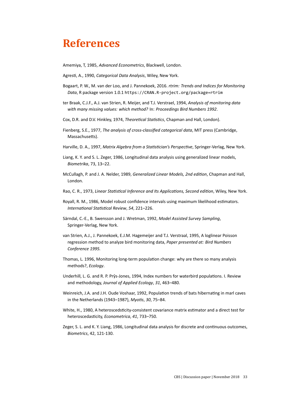## **References**

Amemiya, T, 1985, *Advanced Econometrics*, Blackwell, London.

AgresƟ, A., 1990, *Categorical Data Analysis*, Wiley, New York.

- Bogaart, P. W., M. van der Loo, and J. Pannekoek, 2016. *rtrim: Trends and Indices for Monitoring Data*, R package version 1.0.1 https://CRAN.R-project.org/package=rtrim
- ter Braak, C.J.F., A.J. van Strien, R. Meijer, and T.J. Verstrael, 1994, *Analysis of monitoring data with many missing values: which method?* In: *Proceedings Bird Numbers 1992*.
- Cox, D.R. and D.V. Hinkley, 1974, *Theoretical Statistics*, Chapman and Hall, London).
- Fienberg, S.E., 1977, *The analysis of cross-classified categorical data*, MIT press (Cambridge, Massachusetts).
- Harville, D. A., 1997, *Matrix Algebra from a Statistician's Perspective*, Springer-Verlag, New York.
- Liang, K. Y. and S. L. Zeger, 1986, Longitudinal data analysis using generalized linear models, *Biometrika*, 73, 13–22.
- McCullagh, P. and J. A. Nelder, 1989, *Generalized Linear Models, 2nd edition*, Chapman and Hall, London.
- Rao, C. R., 1973, *Linear Statistical Inference and Its Applications, Second edition*, Wiley, New York.
- Royall, R. M., 1986, Model robust confidence intervals using maximum likelihood estimators. *InternaƟonal StaƟsƟcal Review*, *54*, 221–226.
- Särndal, C.-E., B. Swensson and J. Wretman, 1992, *Model Assisted Survey Sampling*, Springer-Verlag, New York.
- van Strien, A.J., J. Pannekoek, E.J.M. Hagemeijer and T.J. Verstraal, 1995, A loglinear Poisson regression method to analyze bird monitoring data, *Paper presented at: Bird Numbers Conference 1995.*
- Thomas, L. 1996, Monitoring long-term population change: why are there so many analysis methods?, *Ecology*.
- Underhill, L. G. and R. P. Prŷs-Jones, 1994, Index numbers for waterbird populations. I. Review and methodology, *Journal of Applied Ecology*, *31*, 463–480.
- Weinreich, J.A. and J.H. Oude Voshaar, 1992, Population trends of bats hibernating in marl caves in the Netherlands (1943–1987), *MyoƟs*, *30*, 75–84.
- White, H., 1980, A heteroscedsticity-consistent covariance matrix estimator and a direct test for heteroscedasƟcity, *Econometrica*, *41*, 733–750.
- Zeger, S. L. and K. Y. Liang, 1986, Longitudinal data analysis for discrete and continuous outcomes, *Biometrics*, 42, 121-130.